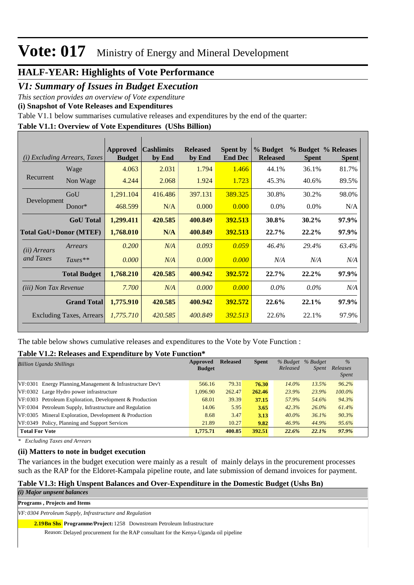### **HALF-YEAR: Highlights of Vote Performance**

### *V1: Summary of Issues in Budget Execution*

*This section provides an overview of Vote expenditure* 

**(i) Snapshot of Vote Releases and Expenditures**

Table V1.1 below summarises cumulative releases and expenditures by the end of the quarter:

#### **Table V1.1: Overview of Vote Expenditures (UShs Billion)**

|                              | ( <i>i</i> ) Excluding Arrears, Taxes | Approved<br><b>Budget</b> | <b>Cashlimits</b><br>by End | <b>Released</b><br>by End | <b>Spent by</b><br><b>End Dec</b> | % Budget<br><b>Released</b> | <b>Spent</b> | % Budget % Releases<br><b>Spent</b> |
|------------------------------|---------------------------------------|---------------------------|-----------------------------|---------------------------|-----------------------------------|-----------------------------|--------------|-------------------------------------|
|                              | Wage                                  | 4.063                     | 2.031                       | 1.794                     | 1.466                             | 44.1%                       | 36.1%        | 81.7%                               |
| Recurrent                    | Non Wage                              | 4.244                     | 2.068                       | 1.924                     | 1.723                             | 45.3%                       | 40.6%        | 89.5%                               |
|                              | GoU                                   | 1,291.104                 | 416.486                     | 397.131                   | 389.325                           | 30.8%                       | 30.2%        | 98.0%                               |
| Development                  | Donor $*$                             | 468.599                   | N/A                         | 0.000                     | 0.000                             | $0.0\%$                     | $0.0\%$      | N/A                                 |
|                              | <b>GoU</b> Total                      | 1,299.411                 | 420.585                     | 400.849                   | 392.513                           | 30.8%                       | $30.2\%$     | 97.9%                               |
|                              | <b>Total GoU+Donor (MTEF)</b>         | 1,768.010                 | N/A                         | 400.849                   | 392.513                           | $22.7\%$                    | $22.2\%$     | 97.9%                               |
| ( <i>ii</i> ) Arrears        | Arrears                               | 0.200                     | N/A                         | 0.093                     | 0.059                             | 46.4%                       | 29.4%        | 63.4%                               |
| and Taxes                    | $Taxes**$                             | 0.000                     | N/A                         | 0.000                     | 0.000                             | N/A                         | N/A          | N/A                                 |
|                              | <b>Total Budget</b>                   | 1,768.210                 | 420.585                     | 400.942                   | 392.572                           | 22.7%                       | 22.2%        | 97.9%                               |
| <i>(iii)</i> Non Tax Revenue |                                       | 7.700                     | N/A                         | 0.000                     | 0.000                             | $0.0\%$                     | $0.0\%$      | N/A                                 |
|                              | <b>Grand Total</b>                    | 1,775.910                 | 420.585                     | 400.942                   | 392.572                           | 22.6%                       | 22.1%        | 97.9%                               |
|                              | Excluding Taxes, Arrears              | 1,775.710                 | 420.585                     | 400.849                   | 392.513                           | 22.6%                       | 22.1%        | 97.9%                               |

The table below shows cumulative releases and expenditures to the Vote by Vote Function :

#### **Table V1.2: Releases and Expenditure by Vote Function\***

| <b>Billion Uganda Shillings</b>                            | Approved      | <b>Released</b> | <b>Spent</b> | % Budget | % Budget     | $\%$         |
|------------------------------------------------------------|---------------|-----------------|--------------|----------|--------------|--------------|
|                                                            | <b>Budget</b> |                 |              | Released | <i>Spent</i> | Releases     |
|                                                            |               |                 |              |          |              | <i>Spent</i> |
| VF:0301 Energy Planning, Management & Infrastructure Dev't | 566.16        | 79.31           | 76.30        | $14.0\%$ | 13.5%        | 96.2%        |
| VF:0302 Large Hydro power infrastructure                   | 1.096.90      | 262.47          | 262.46       | 23.9%    | 23.9%        | $100.0\%$    |
| VF:0303 Petroleum Exploration, Development & Production    | 68.01         | 39.39           | 37.15        | 57.9%    | 54.6%        | 94.3%        |
| VF:0304 Petroleum Supply, Infrastructure and Regulation    | 14.06         | 5.95            | 3.65         | 42.3%    | 26.0%        | 61.4%        |
| VF:0305 Mineral Exploration, Development & Production      | 8.68          | 3.47            | 3.13         | $40.0\%$ | 36.1%        | 90.3%        |
| VF:0349 Policy, Planning and Support Services              | 21.89         | 10.27           | 9.82         | 46.9%    | 44.9%        | 95.6%        |
| <b>Total For Vote</b>                                      | 1,775.71      | 400.85          | 392.51       | 22.6%    | 22.1%        | 97.9%        |

*\* Excluding Taxes and Arrears*

#### **(ii) Matters to note in budget execution**

The variances in the budget execution were mainly as a result of mainly delays in the procurement processes such as the RAP for the Eldoret-Kampala pipeline route, and late submission of demand invoices for payment.

#### **Table V1.3: High Unspent Balances and Over-Expenditure in the Domestic Budget (Ushs Bn)**

#### *(i) Major unpsent balances*

**Programs , Projects and Items**

*VF: 0304 Petroleum Supply, Infrastructure and Regulation*

**Bn Shs Programme/Project:** 1258 Downstream Petroleum Infrastructure **2.19**

Reason: Delayed procurement for the RAP consultant for the Kenya-Uganda oil pipeline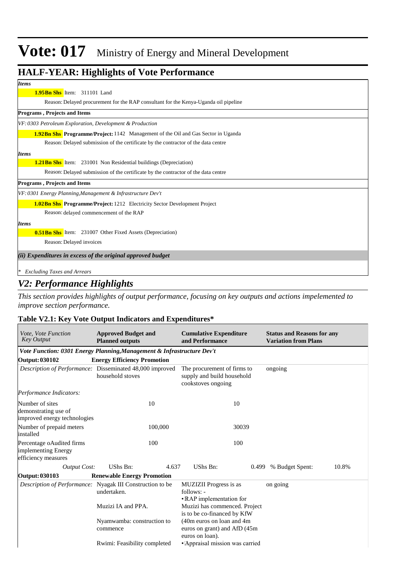### **HALF-YEAR: Highlights of Vote Performance**

#### **Bn Shs** Item: 311101 Land **1.95**

Reason: Delayed procurement for the RAP consultant for the Kenya-Uganda oil pipeline

#### **Programs , Projects and Items**

*VF: 0303 Petroleum Exploration, Development & Production*

**Bn Shs Programme/Project:** 1142 Management of the Oil and Gas Sector in Uganda **1.92**

Delayed submission of the certificate by the contractor of the data centre Reason:

#### *Items*

*Items*

**1.21Bn Shs** Item: 231001 Non Residential buildings (Depreciation)

Reason: Delayed submission of the certificate by the contractor of the data centre

**Programs , Projects and Items**

*VF: 0301 Energy Planning,Management & Infrastructure Dev't*

**1.02Bn Shs Programme/Project:** 1212 Electricity Sector Development Project

Reason: delayed commencement of the RAP

*Items*

**0.51Bn Shs** Item: 231007 Other Fixed Assets (Depreciation)

Reason: Delayed invoices

*(ii) Expenditures in excess of the original approved budget*

*\* Excluding Taxes and Arrears*

### *V2: Performance Highlights*

*This section provides highlights of output performance, focusing on key outputs and actions impelemented to improve section performance.*

#### **Table V2.1: Key Vote Output Indicators and Expenditures\***

| Vote, Vote Function<br><b>Key Output</b>                                | <b>Approved Budget and</b><br><b>Planned outputs</b>                         | <b>Cumulative Expenditure</b><br>and Performance                                | <b>Status and Reasons for any</b><br><b>Variation from Plans</b> |  |  |  |
|-------------------------------------------------------------------------|------------------------------------------------------------------------------|---------------------------------------------------------------------------------|------------------------------------------------------------------|--|--|--|
|                                                                         | Vote Function: 0301 Energy Planning, Management & Infrastructure Dev't       |                                                                                 |                                                                  |  |  |  |
| Output: 030102                                                          | <b>Energy Efficiency Promotion</b>                                           |                                                                                 |                                                                  |  |  |  |
|                                                                         | Description of Performance: Disseminated 48,000 improved<br>household stoves | The procurement of firms to<br>supply and build household<br>cookstoves ongoing | ongoing                                                          |  |  |  |
| Performance Indicators:                                                 |                                                                              |                                                                                 |                                                                  |  |  |  |
| Number of sites<br>demonstrating use of<br>improved energy technologies | 10                                                                           | 10                                                                              |                                                                  |  |  |  |
| Number of prepaid meters<br>installed                                   | 100,000                                                                      | 30039                                                                           |                                                                  |  |  |  |
| Percentage oAudited firms<br>implementing Energy<br>efficiency measures | 100                                                                          | 100                                                                             |                                                                  |  |  |  |
| Output Cost:                                                            | UShs Bn:<br>4.637                                                            | UShs Bn:                                                                        | 10.8%<br>0.499 % Budget Spent:                                   |  |  |  |
| Output: 030103                                                          | <b>Renewable Energy Promotion</b>                                            |                                                                                 |                                                                  |  |  |  |
|                                                                         | Description of Performance: Nyagak III Construction to be<br>undertaken.     | MUZIZII Progress is as<br>follows: -<br>• RAP implementation for                | on going                                                         |  |  |  |
|                                                                         | Muzizi IA and PPA.                                                           | Muzizi has commenced. Project<br>is to be co-financed by KfW                    |                                                                  |  |  |  |
|                                                                         | Nyamwamba: construction to<br>commence                                       | (40m euros on loan and 4m<br>euros on grant) and AfD (45m)<br>euros on loan).   |                                                                  |  |  |  |
|                                                                         | Rwimi: Feasibility completed                                                 | • Appraisal mission was carried                                                 |                                                                  |  |  |  |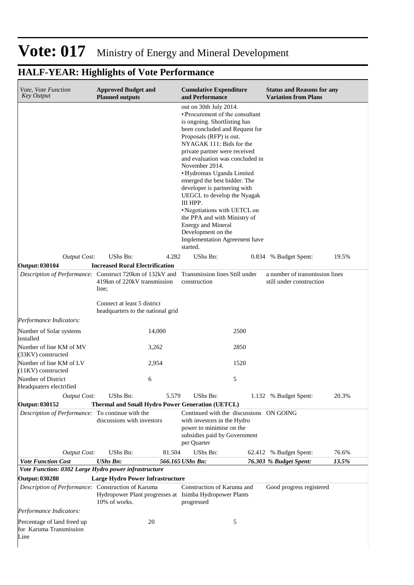| Vote, Vote Function<br><b>Key Output</b>                             | <b>Approved Budget and</b><br><b>Planned outputs</b>                                                                            | <b>Cumulative Expenditure</b><br>and Performance                                                                                                                                                                                                                                                                                                                                                                                                                                                                                                                                | <b>Status and Reasons for any</b><br><b>Variation from Plans</b> |
|----------------------------------------------------------------------|---------------------------------------------------------------------------------------------------------------------------------|---------------------------------------------------------------------------------------------------------------------------------------------------------------------------------------------------------------------------------------------------------------------------------------------------------------------------------------------------------------------------------------------------------------------------------------------------------------------------------------------------------------------------------------------------------------------------------|------------------------------------------------------------------|
|                                                                      |                                                                                                                                 | out on 30th July 2014.<br>• Procurement of the consultant<br>is ongoing. Shortlisting has<br>been concluded and Request for<br>Proposals (RFP) is out.<br>NYAGAK 111: Bids for the<br>private partner were received<br>and evaluation was concluded in<br>November 2014.<br>· Hydromax Uganda Limited<br>emerged the best bidder. The<br>developer is partnering with<br>UEGCL to develop the Nyagak<br>III HPP.<br>•Negotiations with UETCL on<br>the PPA and with Ministry of<br><b>Energy and Mineral</b><br>Development on the<br>Implementation Agreement have<br>started. |                                                                  |
| Output Cost:                                                         | UShs Bn:<br>4.282                                                                                                               | UShs Bn:<br>0.834                                                                                                                                                                                                                                                                                                                                                                                                                                                                                                                                                               | 19.5%<br>% Budget Spent:                                         |
| Output: 030104                                                       | <b>Increased Rural Electrification</b>                                                                                          |                                                                                                                                                                                                                                                                                                                                                                                                                                                                                                                                                                                 |                                                                  |
|                                                                      | Description of Performance: Construct 720km of 132kV and Transmission lines Still under<br>419km of 220kV transmission<br>line; | construction                                                                                                                                                                                                                                                                                                                                                                                                                                                                                                                                                                    | a number of transmission lines<br>still under construction       |
|                                                                      | Connect at least 5 district<br>headquarters to the national grid                                                                |                                                                                                                                                                                                                                                                                                                                                                                                                                                                                                                                                                                 |                                                                  |
| Performance Indicators:                                              |                                                                                                                                 |                                                                                                                                                                                                                                                                                                                                                                                                                                                                                                                                                                                 |                                                                  |
| Number of Solar systems<br>installed                                 | 14,000                                                                                                                          | 2500                                                                                                                                                                                                                                                                                                                                                                                                                                                                                                                                                                            |                                                                  |
| Number of line KM of MV<br>(33KV) constructed                        | 3,262                                                                                                                           | 2850                                                                                                                                                                                                                                                                                                                                                                                                                                                                                                                                                                            |                                                                  |
| Number of line KM of LV<br>(11KV) constructed                        | 2,954                                                                                                                           | 1520                                                                                                                                                                                                                                                                                                                                                                                                                                                                                                                                                                            |                                                                  |
| Number of District<br>Headquaters electrified                        | 6                                                                                                                               | 5                                                                                                                                                                                                                                                                                                                                                                                                                                                                                                                                                                               |                                                                  |
| <b>Output Cost:</b>                                                  | UShs Bn:<br>5.579                                                                                                               | UShs Bn:                                                                                                                                                                                                                                                                                                                                                                                                                                                                                                                                                                        | 1.132 % Budget Spent:<br>20.3%                                   |
| Output: 030152                                                       | <b>Thermal and Small Hydro Power Generation (UETCL)</b>                                                                         |                                                                                                                                                                                                                                                                                                                                                                                                                                                                                                                                                                                 |                                                                  |
| <i>Description of Performance:</i> To continue with the              | discussions with investors                                                                                                      | Continued with the discussions ON GOING<br>with investors in the Hydro<br>power to minimise on the<br>subsidies paid by Government<br>per Quarter                                                                                                                                                                                                                                                                                                                                                                                                                               |                                                                  |
| <b>Output Cost:</b>                                                  | UShs Bn:<br>81.504                                                                                                              | UShs Bn:<br>62.412                                                                                                                                                                                                                                                                                                                                                                                                                                                                                                                                                              | 76.6%<br>% Budget Spent:                                         |
| <b>Vote Function Cost</b>                                            | <b>UShs Bn:</b>                                                                                                                 | 566.165 UShs Bn:                                                                                                                                                                                                                                                                                                                                                                                                                                                                                                                                                                | 13.5%<br>76.303 % Budget Spent:                                  |
| Vote Function: 0302 Large Hydro power infrastructure                 |                                                                                                                                 |                                                                                                                                                                                                                                                                                                                                                                                                                                                                                                                                                                                 |                                                                  |
| Output: 030280<br>Description of Performance: Construction of Karuma | <b>Large Hydro Power Infrastructure</b><br>Hydropower Plant progresses at Isimba Hydropower Plants                              | Construction of Karuma and                                                                                                                                                                                                                                                                                                                                                                                                                                                                                                                                                      | Good progress registered                                         |
| Performance Indicators:                                              | 10% of works.                                                                                                                   | progressed                                                                                                                                                                                                                                                                                                                                                                                                                                                                                                                                                                      |                                                                  |
| Percentage of land freed up<br>for Karuma Transmission<br>Line       | 20                                                                                                                              | 5                                                                                                                                                                                                                                                                                                                                                                                                                                                                                                                                                                               |                                                                  |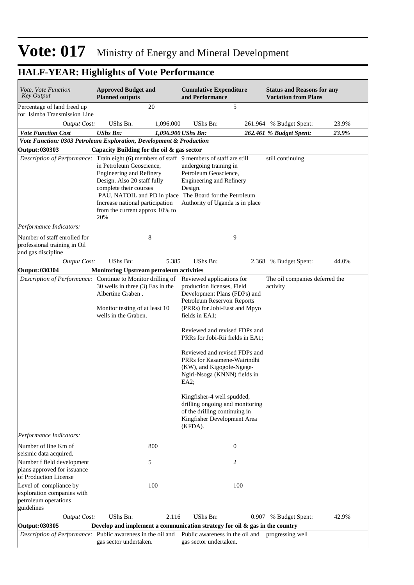#### **Cumulative Expenditure and Performance Approved Budget and Planned outputs Status and Reasons for any Variation from Plans** *Vote, Vote Function Key Output Vote Function Cost UShs Bn: 1,096.900 UShs Bn: 262.461 % Budget Spent: 23.9% Output Cost:* UShs Bn: 1,096.000 UShs Bn: 261.964 % Budget Spent: 23.9% Percentage of land freed up for Isimba Transmission Line 20 5 *Vote Function: 0303 Petroleum Exploration, Development & Production* **Output: 030303 Capacity Building for the oil & gas sector** *Description of Performance:* Train eight (6) members of staff 9 members of staff are still in Petroleum Geoscience, Engineering and Refinery Design. Also 20 staff fully complete their courses PAU, NATOIL and PD in place The Board for the Petroleum Increase national participation from the current approx 10% to 20% undergoing training in Petroleum Geoscience, Engineering and Refinery Design. Authority of Uganda is in place still continuing *Output Cost:* UShs Bn: 5.385 UShs Bn: 2.368 % Budget Spent: 44.0% *Performance Indicators:* Number of staff enrolled for professional training in Oil and gas discipline 8 9 **Output: 030304 Monitoring Upstream petroleum activities** *Description of Performance:* Continue to Monitor drilling of Reviewed applications for 30 wells in three (3) Eas in the Albertine Graben . Monitor testing of at least 10 wells in the Graben. production licenses, Field Development Plans (FDPs) and Petroleum Reservoir Reports (PRRs) for Jobi-East and Mpyo fields in EA1; Reviewed and revised FDPs and PRRs for Jobi-Rii fields in EA1; Reviewed and revised FDPs and PRRs for Kasamene-Wairindhi (KW), and Kigogole-Ngege-Ngiri-Nsoga (KNNN) fields in EA2; Kingfisher-4 well spudded, drilling ongoing and monitoring of the drilling continuing in Kingfisher Development Area (KFDA). The oil companies deferred the activity *Output Cost:* UShs Bn: 2.116 UShs Bn: 0.907 % Budget Spent: 42.9% *Performance Indicators:* Number of line Km of seismic data acquired. 800 0 Number f field development plans approved for issuance of Production License 5 2 Level of compliance by exploration companies with petroleum operations guidelines 100 100 **Output: 030305 Develop and implement a communication strategy for oil & gas in the country** *Description of Performance:* Public awareness in the oil and gas sector undertaken. Public awareness in the oil and progressing wellgas sector undertaken.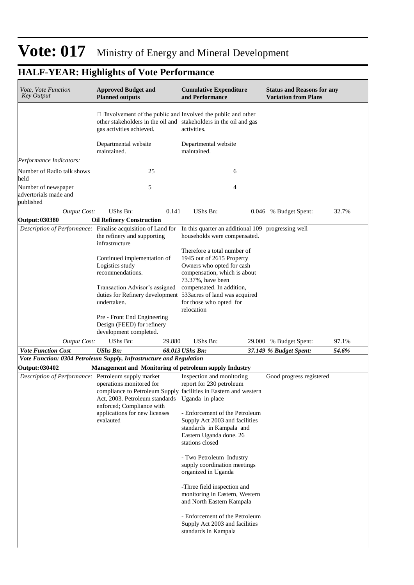| <i>Vote, Vote Function</i><br><b>Key Output</b>                     | <b>Approved Budget and</b><br><b>Planned outputs</b>                                |        | <b>Cumulative Expenditure</b><br>and Performance                                                                                                       | <b>Status and Reasons for any</b><br><b>Variation from Plans</b> |       |
|---------------------------------------------------------------------|-------------------------------------------------------------------------------------|--------|--------------------------------------------------------------------------------------------------------------------------------------------------------|------------------------------------------------------------------|-------|
|                                                                     | gas activities achieved.                                                            |        | $\Box$ Involvement of the public and Involved the public and other<br>other stakeholders in the oil and stakeholders in the oil and gas<br>activities. |                                                                  |       |
|                                                                     | Departmental website<br>maintained.                                                 |        | Departmental website<br>maintained.                                                                                                                    |                                                                  |       |
| Performance Indicators:                                             |                                                                                     |        |                                                                                                                                                        |                                                                  |       |
| Number of Radio talk shows<br>held                                  | 25                                                                                  |        | 6                                                                                                                                                      |                                                                  |       |
| Number of newspaper<br>advertorials made and<br>published           | 5                                                                                   |        | 4                                                                                                                                                      |                                                                  |       |
| <b>Output Cost:</b>                                                 | UShs Bn:                                                                            | 0.141  | UShs Bn:                                                                                                                                               | 0.046 % Budget Spent:                                            | 32.7% |
| Output: 030380                                                      | <b>Oil Refinery Construction</b>                                                    |        |                                                                                                                                                        |                                                                  |       |
| Description of Performance: Finalise acquisition of Land for        | the refinery and supporting<br>infrastructure                                       |        | In this quarter an additional 109 progressing well<br>households were compensated.                                                                     |                                                                  |       |
|                                                                     | Continued implementation of<br>Logistics study<br>recommendations.                  |        | Therefore a total number of<br>1945 out of 2615 Property<br>Owners who opted for cash<br>compensation, which is about<br>73.37%, have been             |                                                                  |       |
|                                                                     | Transaction Advisor's assigned<br>undertaken.                                       |        | compensated. In addition,<br>duties for Refinery development 533acres of land was acquired<br>for those who opted for<br>relocation                    |                                                                  |       |
|                                                                     | Pre - Front End Engineering<br>Design (FEED) for refinery<br>development completed. |        |                                                                                                                                                        |                                                                  |       |
| <b>Output Cost:</b>                                                 | UShs Bn:                                                                            | 29.880 | UShs Bn:                                                                                                                                               | 29.000 % Budget Spent:                                           | 97.1% |
| <b>Vote Function Cost</b>                                           | <b>UShs Bn:</b>                                                                     |        | 68.013 UShs Bn:                                                                                                                                        | 37.149 % Budget Spent:                                           | 54.6% |
| Vote Function: 0304 Petroleum Supply, Infrastructure and Regulation |                                                                                     |        |                                                                                                                                                        |                                                                  |       |
| <b>Output: 030402</b>                                               |                                                                                     |        | Management and Monitoring of petroleum supply Industry                                                                                                 |                                                                  |       |
| Description of Performance: Petroleum supply market                 | operations monitored for                                                            |        | Inspection and monitoring<br>report for 230 petroleum<br>compliance to Petroleum Supply facilities in Eastern and western                              | Good progress registered                                         |       |
|                                                                     | Act, 2003. Petroleum standards Uganda in place<br>enforced; Compliance with         |        |                                                                                                                                                        |                                                                  |       |
|                                                                     | applications for new licenses<br>evalauted                                          |        | - Enforcement of the Petroleum<br>Supply Act 2003 and facilities                                                                                       |                                                                  |       |
|                                                                     |                                                                                     |        | standards in Kampala and<br>Eastern Uganda done. 26<br>stations closed                                                                                 |                                                                  |       |
|                                                                     |                                                                                     |        | - Two Petroleum Industry<br>supply coordination meetings<br>organized in Uganda                                                                        |                                                                  |       |
|                                                                     |                                                                                     |        | -Three field inspection and<br>monitoring in Eastern, Western<br>and North Eastern Kampala                                                             |                                                                  |       |
|                                                                     |                                                                                     |        | - Enforcement of the Petroleum<br>Supply Act 2003 and facilities<br>standards in Kampala                                                               |                                                                  |       |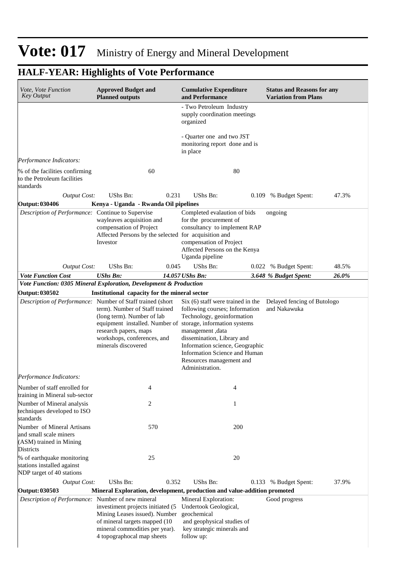| Vote, Vote Function<br><b>Key Output</b>                                                            | <b>Approved Budget and</b><br><b>Planned outputs</b>                                                                                                                                                                                                                     | <b>Cumulative Expenditure</b><br>and Performance                                                                                                                                                                                                                       | <b>Status and Reasons for any</b><br><b>Variation from Plans</b> |
|-----------------------------------------------------------------------------------------------------|--------------------------------------------------------------------------------------------------------------------------------------------------------------------------------------------------------------------------------------------------------------------------|------------------------------------------------------------------------------------------------------------------------------------------------------------------------------------------------------------------------------------------------------------------------|------------------------------------------------------------------|
|                                                                                                     |                                                                                                                                                                                                                                                                          | - Two Petroleum Industry<br>supply coordination meetings<br>organized                                                                                                                                                                                                  |                                                                  |
|                                                                                                     |                                                                                                                                                                                                                                                                          | - Quarter one and two JST<br>monitoring report done and is<br>in place                                                                                                                                                                                                 |                                                                  |
| Performance Indicators:                                                                             |                                                                                                                                                                                                                                                                          |                                                                                                                                                                                                                                                                        |                                                                  |
| % of the facilities confirming<br>to the Petroleum facilities<br>standards                          | 60                                                                                                                                                                                                                                                                       | 80                                                                                                                                                                                                                                                                     |                                                                  |
| <b>Output Cost:</b>                                                                                 | UShs Bn:<br>0.231                                                                                                                                                                                                                                                        | UShs Bn:<br>0.109                                                                                                                                                                                                                                                      | 47.3%<br>% Budget Spent:                                         |
| Output: 030406                                                                                      | Kenya - Uganda - Rwanda Oil pipelines                                                                                                                                                                                                                                    |                                                                                                                                                                                                                                                                        |                                                                  |
| Description of Performance: Continue to Supervise                                                   | wayleaves acquisition and<br>compensation of Project<br>Affected Persons by the selected for acquisition and<br>Investor                                                                                                                                                 | Completed evalaution of bids<br>for the procurement of<br>consultancy to implement RAP<br>compensation of Project<br>Affected Persons on the Kenya<br>Uganda pipeline                                                                                                  | ongoing                                                          |
| <b>Output Cost:</b>                                                                                 | UShs Bn:<br>0.045                                                                                                                                                                                                                                                        | UShs Bn:                                                                                                                                                                                                                                                               | 48.5%<br>0.022 % Budget Spent:                                   |
| <b>Vote Function Cost</b>                                                                           | <b>UShs Bn:</b>                                                                                                                                                                                                                                                          | 14.057 UShs Bn:                                                                                                                                                                                                                                                        | 26.0%<br>3.648 % Budget Spent:                                   |
| Output: 030502                                                                                      | Vote Function: 0305 Mineral Exploration, Development & Production<br>Institutional capacity for the mineral sector                                                                                                                                                       |                                                                                                                                                                                                                                                                        |                                                                  |
|                                                                                                     | Description of Performance: Number of Staff trained (short<br>term). Number of Staff trained<br>(long term). Number of lab<br>equipment installed. Number of storage, information systems<br>research papers, maps<br>workshops, conferences, and<br>minerals discovered | Six (6) staff were trained in the<br>following courses; Information<br>Technology, geoinformation<br>management, data<br>dissemination, Library and<br>Information science, Geographic<br>Information Science and Human<br>Resources management and<br>Administration. | Delayed fencing of Butologo<br>and Nakawuka                      |
| Performance Indicators:                                                                             |                                                                                                                                                                                                                                                                          |                                                                                                                                                                                                                                                                        |                                                                  |
| Number of staff enrolled for<br>training in Mineral sub-sector                                      | 4                                                                                                                                                                                                                                                                        | 4                                                                                                                                                                                                                                                                      |                                                                  |
| Number of Mineral analysis<br>techniques developed to ISO<br>standards                              | 2                                                                                                                                                                                                                                                                        | 1                                                                                                                                                                                                                                                                      |                                                                  |
| Number of Mineral Artisans<br>and small scale miners<br>(ASM) trained in Mining<br><b>Districts</b> | 570                                                                                                                                                                                                                                                                      | 200                                                                                                                                                                                                                                                                    |                                                                  |
| % of earthquake monitoring<br>stations installed against<br>NDP target of 40 stations               | 25                                                                                                                                                                                                                                                                       | 20                                                                                                                                                                                                                                                                     |                                                                  |
| <b>Output Cost:</b>                                                                                 | UShs Bn:<br>0.352                                                                                                                                                                                                                                                        | UShs Bn:<br>0.133                                                                                                                                                                                                                                                      | 37.9%<br>% Budget Spent:                                         |
| Output: 030503                                                                                      | Mineral Exploration, development, production and value-addition promoted                                                                                                                                                                                                 |                                                                                                                                                                                                                                                                        |                                                                  |
| Description of Performance: Number of new mineral                                                   | investiment projects initiated (5<br>Mining Leases issued). Number<br>of mineral targets mapped (10)<br>mineral commodities per year).<br>4 topographocal map sheets                                                                                                     | Mineral Exploration:<br>Undertook Geological,<br>geochemical<br>and geophysical studies of<br>key strategic minerals and<br>follow up:                                                                                                                                 | Good progress                                                    |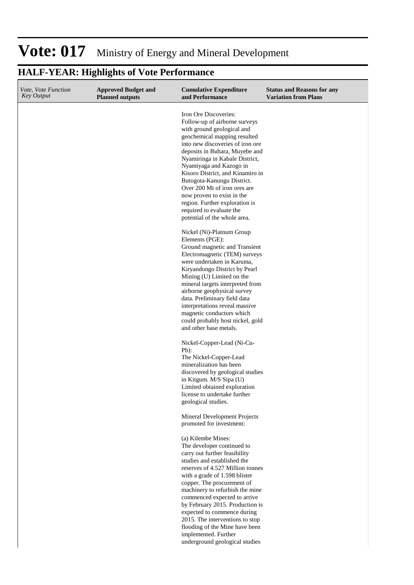#### **Cumulative Expenditure and Performance Approved Budget and Planned outputs Status and Reasons for any Variation from Plans** *Vote, Vote Function Key Output* Iron Ore Discoveries: Follow-up of airborne surveys with ground geological and geochemical mapping resulted into new discoveries of iron ore deposits in Buhara, Muyebe and Nyamiringa in Kabale District, Nyamiyaga and Kazogo in Kisoro District, and Kinamiro in Butogota-Kanungu District. Over 200 Mt of iron ores are now proven to exist in the region. Further exploration is required to evaluate the potential of the whole area. Nickel (Ni)-Platnum Group Elements (PGE): Ground magnetic and Transient Electromagnetic (TEM) surveys were undertaken in Karuma, Kiryandongo District by Pearl Mining (U) Limited on the mineral targets interpreted from airborne geophysical survey data. Preliminary field data interpretations reveal massive magnetic conductors which could probably host nickel, gold and other base metals. Nickel-Copper-Lead (Ni-Cu-Pb):

#### **HALF-YEAR: Highlights of Vote Performance**

The Nickel-Copper-Lead mineralization has been discovered by geological studies in Kitgum. M/S Sipa (U) Limited obtained exploration license to undertake further geological studies.

Mineral Development Projects promoted for investment:

(a) Kilembe Mines: The developer continued to carry out further feasibility studies and established the reserves of 4.527 Million tonnes with a grade of 1.598 blister copper. The procurement of machinery to refurbish the mine commenced expected to arrive by February 2015. Production is expected to commence during 2015. The interventions to stop flooding of the Mine have been implemented. Further underground geological studies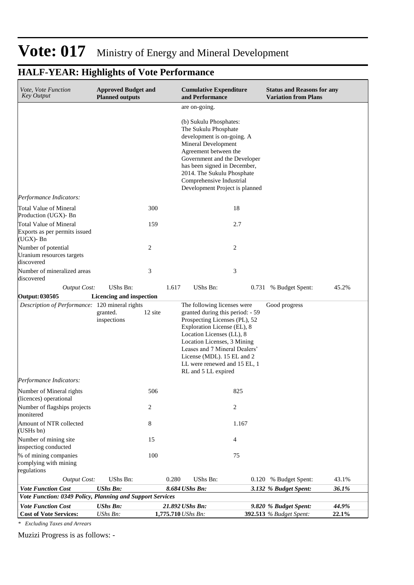## **HALF-YEAR: Highlights of Vote Performance**

| Vote, Vote Function<br><b>Key Output</b>                                       | <b>Approved Budget and</b><br><b>Planned outputs</b> |         |       | <b>Cumulative Expenditure</b><br>and Performance                                                                                                                                                                                                                                                                  |                | <b>Status and Reasons for any</b><br><b>Variation from Plans</b> |                |
|--------------------------------------------------------------------------------|------------------------------------------------------|---------|-------|-------------------------------------------------------------------------------------------------------------------------------------------------------------------------------------------------------------------------------------------------------------------------------------------------------------------|----------------|------------------------------------------------------------------|----------------|
|                                                                                |                                                      |         |       | are on-going.                                                                                                                                                                                                                                                                                                     |                |                                                                  |                |
|                                                                                |                                                      |         |       | (b) Sukulu Phosphates:<br>The Sukulu Phosphate<br>development is on-going. A<br>Mineral Development<br>Agreement between the<br>Government and the Developer<br>has been signed in December,<br>2014. The Sukulu Phosphate<br>Comprehensive Industrial<br>Development Project is planned                          |                |                                                                  |                |
| Performance Indicators:                                                        |                                                      |         |       |                                                                                                                                                                                                                                                                                                                   |                |                                                                  |                |
| <b>Total Value of Mineral</b><br>Production (UGX)- Bn                          |                                                      | 300     |       |                                                                                                                                                                                                                                                                                                                   | 18             |                                                                  |                |
| <b>Total Value of Mineral</b><br>Exports as per permits issued<br>$(UGX)$ - Bn |                                                      | 159     |       |                                                                                                                                                                                                                                                                                                                   | 2.7            |                                                                  |                |
| Number of potential<br>Uranium resources targets<br>discovered                 |                                                      | 2       |       |                                                                                                                                                                                                                                                                                                                   | $\overline{c}$ |                                                                  |                |
| Number of mineralized areas<br>discovered                                      |                                                      | 3       |       |                                                                                                                                                                                                                                                                                                                   | 3              |                                                                  |                |
| <b>Output Cost:</b>                                                            | <b>UShs Bn:</b>                                      |         | 1.617 | UShs Bn:                                                                                                                                                                                                                                                                                                          |                | 0.731 % Budget Spent:                                            | 45.2%          |
| Output: 030505                                                                 | Licencing and inspection                             |         |       |                                                                                                                                                                                                                                                                                                                   |                |                                                                  |                |
| Description of Performance: 120 mineral rights                                 | granted.<br>inspections                              | 12 site |       | The following licenses were<br>granted during this period: - 59<br>Prospecting Licenses (PL), 52<br>Exploration License (EL), 8<br>Location Licenses (LL), 8<br>Location Licenses, 3 Mining<br>Leases and 7 Mineral Dealers'<br>License (MDL). 15 EL and 2<br>LL were renewed and 15 EL, 1<br>RL and 5 LL expired |                | Good progress                                                    |                |
| Performance Indicators:                                                        |                                                      |         |       |                                                                                                                                                                                                                                                                                                                   |                |                                                                  |                |
| Number of Mineral rights<br>(licences) operational                             |                                                      | 506     |       |                                                                                                                                                                                                                                                                                                                   | 825            |                                                                  |                |
| Number of flagships projects<br>monitered                                      |                                                      | 2       |       |                                                                                                                                                                                                                                                                                                                   | $\overline{2}$ |                                                                  |                |
| Amount of NTR collected<br>(USHs bn)                                           |                                                      | 8       |       |                                                                                                                                                                                                                                                                                                                   | 1.167          |                                                                  |                |
| Number of mining site<br>inspectiog conducted                                  |                                                      | 15      |       |                                                                                                                                                                                                                                                                                                                   | 4              |                                                                  |                |
| % of mining companies<br>complying with mining<br>regulations                  |                                                      | 100     |       |                                                                                                                                                                                                                                                                                                                   | 75             |                                                                  |                |
| <b>Output Cost:</b>                                                            | UShs Bn:                                             |         | 0.280 | UShs Bn:                                                                                                                                                                                                                                                                                                          |                | 0.120 % Budget Spent:                                            | 43.1%          |
| <b>Vote Function Cost</b>                                                      | <b>UShs Bn:</b>                                      |         |       | 8.684 UShs Bn:                                                                                                                                                                                                                                                                                                    |                | 3.132 % Budget Spent:                                            | 36.1%          |
| Vote Function: 0349 Policy, Planning and Support Services                      |                                                      |         |       |                                                                                                                                                                                                                                                                                                                   |                |                                                                  |                |
| <b>Vote Function Cost</b><br><b>Cost of Vote Services:</b>                     | <b>UShs Bn:</b><br>UShs Bn:                          |         |       | 21.892 UShs Bn:<br>1,775.710 UShs Bn:                                                                                                                                                                                                                                                                             |                | 9.820 % Budget Spent:<br>392.513 % Budget Spent:                 | 44.9%<br>22.1% |

*\* Excluding Taxes and Arrears*

Muzizi Progress is as follows: -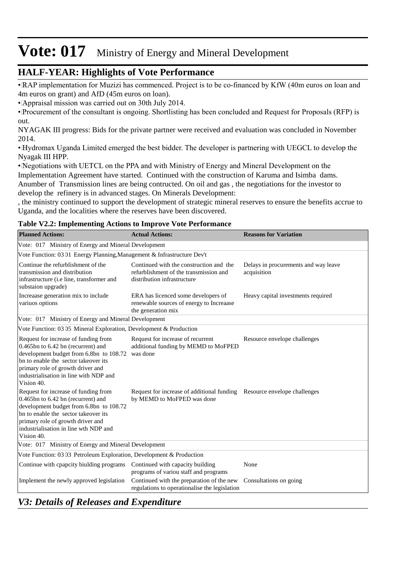### **HALF-YEAR: Highlights of Vote Performance**

• RAP implementation for Muzizi has commenced. Project is to be co-financed by KfW (40m euros on loan and 4m euros on grant) and AfD (45m euros on loan).

• Appraisal mission was carried out on 30th July 2014.

• Procurement of the consultant is ongoing. Shortlisting has been concluded and Request for Proposals (RFP) is out.

NYAGAK III progress: Bids for the private partner were received and evaluation was concluded in November 2014.

• Hydromax Uganda Limited emerged the best bidder. The developer is partnering with UEGCL to develop the Nyagak III HPP.

• Negotiations with UETCL on the PPA and with Ministry of Energy and Mineral Development on the Implementation Agreement have started. Continued with the construction of Karuma and Isimba dams. Anumber of Transmission lines are being contructed. On oil and gas , the negotiations for the investor to develop the refinery is in advanced stages. On Minerals Development:

, the ministry continued to support the development of strategic mineral reserves to ensure the benefits accrue to Uganda, and the localities where the reserves have been discovered.

#### **Table V2.2: Implementing Actions to Improve Vote Performance**

| <b>Planned Actions:</b>                                                                                                                                                                                                                                        | <b>Actual Actions:</b>                                                                                            | <b>Reasons for Variation</b>                        |
|----------------------------------------------------------------------------------------------------------------------------------------------------------------------------------------------------------------------------------------------------------------|-------------------------------------------------------------------------------------------------------------------|-----------------------------------------------------|
| Vote: 017 Ministry of Energy and Mineral Development                                                                                                                                                                                                           |                                                                                                                   |                                                     |
| Vote Function: 03 01 Energy Planning, Management & Infrastructure Dev't                                                                                                                                                                                        |                                                                                                                   |                                                     |
| Continue the refurblishment of the<br>transmission and distribution<br>infrastructure (i.e line, transformer and<br>substaion upgrade)                                                                                                                         | Continued with the construction and the<br>refurblishment of the transmission and<br>distribution infrastructure  | Delays in procurements and way leave<br>acquisition |
| Increaase generation mix to include<br>variuos options                                                                                                                                                                                                         | ERA has licenced some developers of<br>renewable sources of energy to Increaase<br>the generation mix             | Heavy capital investments required                  |
| Vote: 017 Ministry of Energy and Mineral Development                                                                                                                                                                                                           |                                                                                                                   |                                                     |
| Vote Function: 03 05 Mineral Exploration, Development & Production                                                                                                                                                                                             |                                                                                                                   |                                                     |
| Request for increase of funding from<br>0.465bn to 6.42 bn (recurrent) and<br>development budget from 6.8bn to 108.72<br>bn to enable the sector takeover its<br>primary role of growth driver and<br>industrialisation in line with NDP and<br>Vision 40.     | Request for increase of recurrent<br>additional funding by MEMD to MoFPED<br>was done                             | Resource envelope challenges                        |
| Request for increase of funding from<br>$0.465$ bn to $6.42$ bn (recurrent) and<br>development budget from 6.8bn to 108.72<br>bn to enable the sector takeover its<br>primary role of growth driver and<br>industrialisation in line wth NDP and<br>Vision 40. | Request for increase of additional funding Resource envelope challenges<br>by MEMD to MoFPED was done             |                                                     |
| Vote: 017 Ministry of Energy and Mineral Development                                                                                                                                                                                                           |                                                                                                                   |                                                     |
| Vote Function: 03 03 Petroleum Exploration, Development & Production                                                                                                                                                                                           |                                                                                                                   |                                                     |
| Continue with cpapcity biulding programs Continued with capacity building                                                                                                                                                                                      | programs of variou staff and programs                                                                             | None                                                |
| Implement the newly approved legislation                                                                                                                                                                                                                       | Continued with the preparation of the new Consultations on going<br>regulations to operationalise the legislation |                                                     |

### *V3: Details of Releases and Expenditure*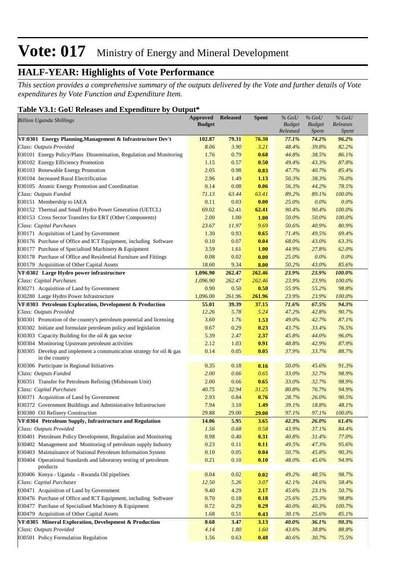### **HALF-YEAR: Highlights of Vote Performance**

*This section provides a comprehensive summary of the outputs delivered by the Vote and further details of Vote expenditures by Vote Function and Expenditure Item.*

#### **Table V3.1: GoU Releases and Expenditure by Output\***

| Released<br><i>Spent</i><br>Spent<br>VF:0301 Energy Planning, Management & Infrastructure Dev't<br>102.87<br>79.31<br>76.30<br>77.1%<br>74.2%<br>96.2%<br>3.90<br>3.21<br>82.2%<br>Class: Outputs Provided<br>8.06<br>48.4%<br>39.8%<br>0.79<br>030101 Energy Policy/Plans Dissemination, Regulation and Monitoring<br>1.76<br>0.68<br>44.8%<br>38.5%<br>86.1%<br>43.3%<br>87.8%<br>030102 Energy Efficiency Promotion<br>1.15<br>0.57<br>0.50<br>49.4%<br>85.4%<br>030103 Renewable Energy Promotion<br>2.05<br>0.98<br>47.7%<br>40.7%<br>0.83<br>38.3%<br>76.0%<br>030104 Increased Rural Electrification<br>2.96<br>1.49<br>50.3%<br>1.13<br>56.3%<br>78.5%<br>030105 Atomic Energy Promotion and Coordination<br>0.14<br>0.08<br>0.06<br>44.2%<br>100.0%<br>Class: Outputs Funded<br>71.13<br>63.44<br>63.41<br>89.2%<br>89.1%<br>0.0%<br>030151 Membership to IAEA<br>0.11<br>0.03<br>0.00<br>25.0%<br>$0.0\%$<br>100.0%<br>030152 Thermal and Small Hydro Power Generation (UETCL)<br>69.02<br>62.41<br>62.41<br>90.4%<br>90.4%<br>1.00<br>1.00<br>100.0%<br>030153 Cross Sector Transfers for ERT (Other Components)<br>2.00<br>50.0%<br>50.0%<br>80.9%<br>Class: Capital Purchases<br>23.67<br>11.97<br>9.69<br>50.6%<br>40.9%<br>1.30<br>49.5%<br>69.4%<br>030171 Acquisition of Land by Government<br>0.93<br>71.4%<br>0.65<br>63.3%<br>030176 Purchase of Office and ICT Equipment, including Software<br>0.10<br>0.07<br>0.04<br>68.0%<br>43.0%<br>27.8%<br>62.0%<br>030177 Purchase of Specialised Machinery & Equipment<br>3.59<br>1.61<br>1.00<br>44.9%<br>030178 Purchase of Office and Residential Furniture and Fittings<br>0.02<br>$0.0\%$<br>0.0%<br>0.08<br>0.00<br>25.0%<br>85.6%<br>030179 Acquisition of Other Capital Assets<br>18.60<br>9.34<br>50.2%<br>43.0%<br>8.00<br>VF:0302 Large Hydro power infrastructure<br>262.47<br>262.46<br>23.9%<br>23.9%<br>100.0%<br>1,096.90<br>262.46<br>23.9%<br>Class: Capital Purchases<br>1,096.90<br>262.47<br>23.9%<br>100.0%<br>98.8%<br>030271 Acquisition of Land by Government<br>0.90<br>0.50<br>0.50<br>55.9%<br>55.2%<br>030280 Large Hydro Power Infrastructure<br>1,096.00<br>261.96<br>261.96<br>23.9%<br>23.9%<br>100.0%<br>67.5%<br>94.3%<br>55.01<br>39.39<br>37.15<br>71.6%<br>VF:0303 Petroleum Exploration, Development & Production<br>90.7%<br>Class: Outputs Provided<br>12.26<br>5.78<br>5.24<br>47.2%<br>42.8%<br>42.7%<br>87.1%<br>030301 Promotion of the country's petroleum potential and licensing<br>3.60<br>1.76<br>1.53<br>49.0%<br>76.5%<br>030302 Initiate and formulate petroleum policy and legislation<br>0.67<br>0.29<br>43.7%<br>33.4%<br>0.23<br>030303 Capacity Building for the oil & gas sector<br>2.37<br>96.0%<br>5.39<br>2.47<br>45.8%<br>44.0%<br>2.12<br>87.9%<br>030304 Monitoring Upstream petroleum activities<br>1.03<br>0.91<br>48.8%<br>42.9%<br>88.7%<br>030305 Develop and implement a communication strategy for oil $\&$ gas<br>0.14<br>0.05<br>37.9%<br>33.7%<br>0.05<br>in the country<br>0.18<br>91.3%<br>030306 Participate in Regional Initiatives<br>0.35<br>0.16<br>50.0%<br>45.6%<br>98.9%<br>Class: Outputs Funded<br>2.00<br>0.66<br>0.65<br>33.0%<br>32.7%<br>32.7%<br>98.9%<br>030351 Transfer for Petroleum Refining (Midstream Unit)<br>2.00<br>0.66<br>0.65<br>33.0%<br>Class: Capital Purchases<br>76.7%<br>94.9%<br>40.75<br>32.94<br>31.25<br>80.8%<br>90.5%<br>030371 Acquisition of Land by Government<br>2.93<br>0.84<br>28.7%<br>26.0%<br>0.76<br>48.1%<br>030372 Government Buildings and Administrative Infrastructure<br>7.94<br>3.10<br>39.1%<br>18.8%<br>1.49<br>030380 Oil Refinery Construction<br>29.88<br>29.00<br>29.00<br>97.1%<br>97.1%<br>100.0%<br>26.0%<br>61.4%<br>5.95<br>3.65<br>42.3%<br>VF:0304 Petroleum Supply, Infrastructure and Regulation<br>14.06<br>Class: Outputs Provided<br>1.56<br>0.68<br>0.58<br>43.9%<br>37.1%<br>84.4%<br>030401 Petroleum Policy Development, Regulation and Monitoring<br>0.98<br>0.40<br>40.8%<br>77.0%<br>0.31<br>31.4%<br>95.6%<br>030402 Management and Monitoring of petroleum supply Industry<br>0.23<br>0.11<br>0.11<br>49.5%<br>47.3%<br>030403 Maintainance of National Petroleum Information System<br>0.05<br>0.04<br>50.7%<br>45.8%<br>90.3%<br>0.10<br>0.21<br>48.0%<br>45.6%<br>94.9%<br>030404 Operational Standards and laboratory testing of petroleum<br>0.10<br>0.10<br>products<br>0.04<br>98.7%<br>030406 Kenya - Uganda - Rwanda Oil pipelines<br>0.02<br>0.02<br>49.2%<br>48.5% | <b>Billion Uganda Shillings</b> | <b>Approved</b> | <b>Released</b> | <b>Spent</b> | $%$ GoU       | $%$ GoU       | $%$ GoU<br>Releases |
|--------------------------------------------------------------------------------------------------------------------------------------------------------------------------------------------------------------------------------------------------------------------------------------------------------------------------------------------------------------------------------------------------------------------------------------------------------------------------------------------------------------------------------------------------------------------------------------------------------------------------------------------------------------------------------------------------------------------------------------------------------------------------------------------------------------------------------------------------------------------------------------------------------------------------------------------------------------------------------------------------------------------------------------------------------------------------------------------------------------------------------------------------------------------------------------------------------------------------------------------------------------------------------------------------------------------------------------------------------------------------------------------------------------------------------------------------------------------------------------------------------------------------------------------------------------------------------------------------------------------------------------------------------------------------------------------------------------------------------------------------------------------------------------------------------------------------------------------------------------------------------------------------------------------------------------------------------------------------------------------------------------------------------------------------------------------------------------------------------------------------------------------------------------------------------------------------------------------------------------------------------------------------------------------------------------------------------------------------------------------------------------------------------------------------------------------------------------------------------------------------------------------------------------------------------------------------------------------------------------------------------------------------------------------------------------------------------------------------------------------------------------------------------------------------------------------------------------------------------------------------------------------------------------------------------------------------------------------------------------------------------------------------------------------------------------------------------------------------------------------------------------------------------------------------------------------------------------------------------------------------------------------------------------------------------------------------------------------------------------------------------------------------------------------------------------------------------------------------------------------------------------------------------------------------------------------------------------------------------------------------------------------------------------------------------------------------------------------------------------------------------------------------------------------------------------------------------------------------------------------------------------------------------------------------------------------------------------------------------------------------------------------------------------------------------------------------------------------------------------------------------------------------------------------------------------------------------------------------------------------------------------------------------------------------------------------------------------------------------------------------------------------------------------------------------------------------------------------------------------------------------------|---------------------------------|-----------------|-----------------|--------------|---------------|---------------|---------------------|
|                                                                                                                                                                                                                                                                                                                                                                                                                                                                                                                                                                                                                                                                                                                                                                                                                                                                                                                                                                                                                                                                                                                                                                                                                                                                                                                                                                                                                                                                                                                                                                                                                                                                                                                                                                                                                                                                                                                                                                                                                                                                                                                                                                                                                                                                                                                                                                                                                                                                                                                                                                                                                                                                                                                                                                                                                                                                                                                                                                                                                                                                                                                                                                                                                                                                                                                                                                                                                                                                                                                                                                                                                                                                                                                                                                                                                                                                                                                                                                                                                                                                                                                                                                                                                                                                                                                                                                                                                                                                                                              |                                 | <b>Budget</b>   |                 |              | <b>Budget</b> | <b>Budget</b> |                     |
|                                                                                                                                                                                                                                                                                                                                                                                                                                                                                                                                                                                                                                                                                                                                                                                                                                                                                                                                                                                                                                                                                                                                                                                                                                                                                                                                                                                                                                                                                                                                                                                                                                                                                                                                                                                                                                                                                                                                                                                                                                                                                                                                                                                                                                                                                                                                                                                                                                                                                                                                                                                                                                                                                                                                                                                                                                                                                                                                                                                                                                                                                                                                                                                                                                                                                                                                                                                                                                                                                                                                                                                                                                                                                                                                                                                                                                                                                                                                                                                                                                                                                                                                                                                                                                                                                                                                                                                                                                                                                                              |                                 |                 |                 |              |               |               |                     |
|                                                                                                                                                                                                                                                                                                                                                                                                                                                                                                                                                                                                                                                                                                                                                                                                                                                                                                                                                                                                                                                                                                                                                                                                                                                                                                                                                                                                                                                                                                                                                                                                                                                                                                                                                                                                                                                                                                                                                                                                                                                                                                                                                                                                                                                                                                                                                                                                                                                                                                                                                                                                                                                                                                                                                                                                                                                                                                                                                                                                                                                                                                                                                                                                                                                                                                                                                                                                                                                                                                                                                                                                                                                                                                                                                                                                                                                                                                                                                                                                                                                                                                                                                                                                                                                                                                                                                                                                                                                                                                              |                                 |                 |                 |              |               |               |                     |
|                                                                                                                                                                                                                                                                                                                                                                                                                                                                                                                                                                                                                                                                                                                                                                                                                                                                                                                                                                                                                                                                                                                                                                                                                                                                                                                                                                                                                                                                                                                                                                                                                                                                                                                                                                                                                                                                                                                                                                                                                                                                                                                                                                                                                                                                                                                                                                                                                                                                                                                                                                                                                                                                                                                                                                                                                                                                                                                                                                                                                                                                                                                                                                                                                                                                                                                                                                                                                                                                                                                                                                                                                                                                                                                                                                                                                                                                                                                                                                                                                                                                                                                                                                                                                                                                                                                                                                                                                                                                                                              |                                 |                 |                 |              |               |               |                     |
|                                                                                                                                                                                                                                                                                                                                                                                                                                                                                                                                                                                                                                                                                                                                                                                                                                                                                                                                                                                                                                                                                                                                                                                                                                                                                                                                                                                                                                                                                                                                                                                                                                                                                                                                                                                                                                                                                                                                                                                                                                                                                                                                                                                                                                                                                                                                                                                                                                                                                                                                                                                                                                                                                                                                                                                                                                                                                                                                                                                                                                                                                                                                                                                                                                                                                                                                                                                                                                                                                                                                                                                                                                                                                                                                                                                                                                                                                                                                                                                                                                                                                                                                                                                                                                                                                                                                                                                                                                                                                                              |                                 |                 |                 |              |               |               |                     |
|                                                                                                                                                                                                                                                                                                                                                                                                                                                                                                                                                                                                                                                                                                                                                                                                                                                                                                                                                                                                                                                                                                                                                                                                                                                                                                                                                                                                                                                                                                                                                                                                                                                                                                                                                                                                                                                                                                                                                                                                                                                                                                                                                                                                                                                                                                                                                                                                                                                                                                                                                                                                                                                                                                                                                                                                                                                                                                                                                                                                                                                                                                                                                                                                                                                                                                                                                                                                                                                                                                                                                                                                                                                                                                                                                                                                                                                                                                                                                                                                                                                                                                                                                                                                                                                                                                                                                                                                                                                                                                              |                                 |                 |                 |              |               |               |                     |
|                                                                                                                                                                                                                                                                                                                                                                                                                                                                                                                                                                                                                                                                                                                                                                                                                                                                                                                                                                                                                                                                                                                                                                                                                                                                                                                                                                                                                                                                                                                                                                                                                                                                                                                                                                                                                                                                                                                                                                                                                                                                                                                                                                                                                                                                                                                                                                                                                                                                                                                                                                                                                                                                                                                                                                                                                                                                                                                                                                                                                                                                                                                                                                                                                                                                                                                                                                                                                                                                                                                                                                                                                                                                                                                                                                                                                                                                                                                                                                                                                                                                                                                                                                                                                                                                                                                                                                                                                                                                                                              |                                 |                 |                 |              |               |               |                     |
|                                                                                                                                                                                                                                                                                                                                                                                                                                                                                                                                                                                                                                                                                                                                                                                                                                                                                                                                                                                                                                                                                                                                                                                                                                                                                                                                                                                                                                                                                                                                                                                                                                                                                                                                                                                                                                                                                                                                                                                                                                                                                                                                                                                                                                                                                                                                                                                                                                                                                                                                                                                                                                                                                                                                                                                                                                                                                                                                                                                                                                                                                                                                                                                                                                                                                                                                                                                                                                                                                                                                                                                                                                                                                                                                                                                                                                                                                                                                                                                                                                                                                                                                                                                                                                                                                                                                                                                                                                                                                                              |                                 |                 |                 |              |               |               |                     |
|                                                                                                                                                                                                                                                                                                                                                                                                                                                                                                                                                                                                                                                                                                                                                                                                                                                                                                                                                                                                                                                                                                                                                                                                                                                                                                                                                                                                                                                                                                                                                                                                                                                                                                                                                                                                                                                                                                                                                                                                                                                                                                                                                                                                                                                                                                                                                                                                                                                                                                                                                                                                                                                                                                                                                                                                                                                                                                                                                                                                                                                                                                                                                                                                                                                                                                                                                                                                                                                                                                                                                                                                                                                                                                                                                                                                                                                                                                                                                                                                                                                                                                                                                                                                                                                                                                                                                                                                                                                                                                              |                                 |                 |                 |              |               |               |                     |
|                                                                                                                                                                                                                                                                                                                                                                                                                                                                                                                                                                                                                                                                                                                                                                                                                                                                                                                                                                                                                                                                                                                                                                                                                                                                                                                                                                                                                                                                                                                                                                                                                                                                                                                                                                                                                                                                                                                                                                                                                                                                                                                                                                                                                                                                                                                                                                                                                                                                                                                                                                                                                                                                                                                                                                                                                                                                                                                                                                                                                                                                                                                                                                                                                                                                                                                                                                                                                                                                                                                                                                                                                                                                                                                                                                                                                                                                                                                                                                                                                                                                                                                                                                                                                                                                                                                                                                                                                                                                                                              |                                 |                 |                 |              |               |               |                     |
|                                                                                                                                                                                                                                                                                                                                                                                                                                                                                                                                                                                                                                                                                                                                                                                                                                                                                                                                                                                                                                                                                                                                                                                                                                                                                                                                                                                                                                                                                                                                                                                                                                                                                                                                                                                                                                                                                                                                                                                                                                                                                                                                                                                                                                                                                                                                                                                                                                                                                                                                                                                                                                                                                                                                                                                                                                                                                                                                                                                                                                                                                                                                                                                                                                                                                                                                                                                                                                                                                                                                                                                                                                                                                                                                                                                                                                                                                                                                                                                                                                                                                                                                                                                                                                                                                                                                                                                                                                                                                                              |                                 |                 |                 |              |               |               |                     |
|                                                                                                                                                                                                                                                                                                                                                                                                                                                                                                                                                                                                                                                                                                                                                                                                                                                                                                                                                                                                                                                                                                                                                                                                                                                                                                                                                                                                                                                                                                                                                                                                                                                                                                                                                                                                                                                                                                                                                                                                                                                                                                                                                                                                                                                                                                                                                                                                                                                                                                                                                                                                                                                                                                                                                                                                                                                                                                                                                                                                                                                                                                                                                                                                                                                                                                                                                                                                                                                                                                                                                                                                                                                                                                                                                                                                                                                                                                                                                                                                                                                                                                                                                                                                                                                                                                                                                                                                                                                                                                              |                                 |                 |                 |              |               |               |                     |
|                                                                                                                                                                                                                                                                                                                                                                                                                                                                                                                                                                                                                                                                                                                                                                                                                                                                                                                                                                                                                                                                                                                                                                                                                                                                                                                                                                                                                                                                                                                                                                                                                                                                                                                                                                                                                                                                                                                                                                                                                                                                                                                                                                                                                                                                                                                                                                                                                                                                                                                                                                                                                                                                                                                                                                                                                                                                                                                                                                                                                                                                                                                                                                                                                                                                                                                                                                                                                                                                                                                                                                                                                                                                                                                                                                                                                                                                                                                                                                                                                                                                                                                                                                                                                                                                                                                                                                                                                                                                                                              |                                 |                 |                 |              |               |               |                     |
|                                                                                                                                                                                                                                                                                                                                                                                                                                                                                                                                                                                                                                                                                                                                                                                                                                                                                                                                                                                                                                                                                                                                                                                                                                                                                                                                                                                                                                                                                                                                                                                                                                                                                                                                                                                                                                                                                                                                                                                                                                                                                                                                                                                                                                                                                                                                                                                                                                                                                                                                                                                                                                                                                                                                                                                                                                                                                                                                                                                                                                                                                                                                                                                                                                                                                                                                                                                                                                                                                                                                                                                                                                                                                                                                                                                                                                                                                                                                                                                                                                                                                                                                                                                                                                                                                                                                                                                                                                                                                                              |                                 |                 |                 |              |               |               |                     |
|                                                                                                                                                                                                                                                                                                                                                                                                                                                                                                                                                                                                                                                                                                                                                                                                                                                                                                                                                                                                                                                                                                                                                                                                                                                                                                                                                                                                                                                                                                                                                                                                                                                                                                                                                                                                                                                                                                                                                                                                                                                                                                                                                                                                                                                                                                                                                                                                                                                                                                                                                                                                                                                                                                                                                                                                                                                                                                                                                                                                                                                                                                                                                                                                                                                                                                                                                                                                                                                                                                                                                                                                                                                                                                                                                                                                                                                                                                                                                                                                                                                                                                                                                                                                                                                                                                                                                                                                                                                                                                              |                                 |                 |                 |              |               |               |                     |
|                                                                                                                                                                                                                                                                                                                                                                                                                                                                                                                                                                                                                                                                                                                                                                                                                                                                                                                                                                                                                                                                                                                                                                                                                                                                                                                                                                                                                                                                                                                                                                                                                                                                                                                                                                                                                                                                                                                                                                                                                                                                                                                                                                                                                                                                                                                                                                                                                                                                                                                                                                                                                                                                                                                                                                                                                                                                                                                                                                                                                                                                                                                                                                                                                                                                                                                                                                                                                                                                                                                                                                                                                                                                                                                                                                                                                                                                                                                                                                                                                                                                                                                                                                                                                                                                                                                                                                                                                                                                                                              |                                 |                 |                 |              |               |               |                     |
|                                                                                                                                                                                                                                                                                                                                                                                                                                                                                                                                                                                                                                                                                                                                                                                                                                                                                                                                                                                                                                                                                                                                                                                                                                                                                                                                                                                                                                                                                                                                                                                                                                                                                                                                                                                                                                                                                                                                                                                                                                                                                                                                                                                                                                                                                                                                                                                                                                                                                                                                                                                                                                                                                                                                                                                                                                                                                                                                                                                                                                                                                                                                                                                                                                                                                                                                                                                                                                                                                                                                                                                                                                                                                                                                                                                                                                                                                                                                                                                                                                                                                                                                                                                                                                                                                                                                                                                                                                                                                                              |                                 |                 |                 |              |               |               |                     |
|                                                                                                                                                                                                                                                                                                                                                                                                                                                                                                                                                                                                                                                                                                                                                                                                                                                                                                                                                                                                                                                                                                                                                                                                                                                                                                                                                                                                                                                                                                                                                                                                                                                                                                                                                                                                                                                                                                                                                                                                                                                                                                                                                                                                                                                                                                                                                                                                                                                                                                                                                                                                                                                                                                                                                                                                                                                                                                                                                                                                                                                                                                                                                                                                                                                                                                                                                                                                                                                                                                                                                                                                                                                                                                                                                                                                                                                                                                                                                                                                                                                                                                                                                                                                                                                                                                                                                                                                                                                                                                              |                                 |                 |                 |              |               |               |                     |
|                                                                                                                                                                                                                                                                                                                                                                                                                                                                                                                                                                                                                                                                                                                                                                                                                                                                                                                                                                                                                                                                                                                                                                                                                                                                                                                                                                                                                                                                                                                                                                                                                                                                                                                                                                                                                                                                                                                                                                                                                                                                                                                                                                                                                                                                                                                                                                                                                                                                                                                                                                                                                                                                                                                                                                                                                                                                                                                                                                                                                                                                                                                                                                                                                                                                                                                                                                                                                                                                                                                                                                                                                                                                                                                                                                                                                                                                                                                                                                                                                                                                                                                                                                                                                                                                                                                                                                                                                                                                                                              |                                 |                 |                 |              |               |               |                     |
|                                                                                                                                                                                                                                                                                                                                                                                                                                                                                                                                                                                                                                                                                                                                                                                                                                                                                                                                                                                                                                                                                                                                                                                                                                                                                                                                                                                                                                                                                                                                                                                                                                                                                                                                                                                                                                                                                                                                                                                                                                                                                                                                                                                                                                                                                                                                                                                                                                                                                                                                                                                                                                                                                                                                                                                                                                                                                                                                                                                                                                                                                                                                                                                                                                                                                                                                                                                                                                                                                                                                                                                                                                                                                                                                                                                                                                                                                                                                                                                                                                                                                                                                                                                                                                                                                                                                                                                                                                                                                                              |                                 |                 |                 |              |               |               |                     |
|                                                                                                                                                                                                                                                                                                                                                                                                                                                                                                                                                                                                                                                                                                                                                                                                                                                                                                                                                                                                                                                                                                                                                                                                                                                                                                                                                                                                                                                                                                                                                                                                                                                                                                                                                                                                                                                                                                                                                                                                                                                                                                                                                                                                                                                                                                                                                                                                                                                                                                                                                                                                                                                                                                                                                                                                                                                                                                                                                                                                                                                                                                                                                                                                                                                                                                                                                                                                                                                                                                                                                                                                                                                                                                                                                                                                                                                                                                                                                                                                                                                                                                                                                                                                                                                                                                                                                                                                                                                                                                              |                                 |                 |                 |              |               |               |                     |
|                                                                                                                                                                                                                                                                                                                                                                                                                                                                                                                                                                                                                                                                                                                                                                                                                                                                                                                                                                                                                                                                                                                                                                                                                                                                                                                                                                                                                                                                                                                                                                                                                                                                                                                                                                                                                                                                                                                                                                                                                                                                                                                                                                                                                                                                                                                                                                                                                                                                                                                                                                                                                                                                                                                                                                                                                                                                                                                                                                                                                                                                                                                                                                                                                                                                                                                                                                                                                                                                                                                                                                                                                                                                                                                                                                                                                                                                                                                                                                                                                                                                                                                                                                                                                                                                                                                                                                                                                                                                                                              |                                 |                 |                 |              |               |               |                     |
|                                                                                                                                                                                                                                                                                                                                                                                                                                                                                                                                                                                                                                                                                                                                                                                                                                                                                                                                                                                                                                                                                                                                                                                                                                                                                                                                                                                                                                                                                                                                                                                                                                                                                                                                                                                                                                                                                                                                                                                                                                                                                                                                                                                                                                                                                                                                                                                                                                                                                                                                                                                                                                                                                                                                                                                                                                                                                                                                                                                                                                                                                                                                                                                                                                                                                                                                                                                                                                                                                                                                                                                                                                                                                                                                                                                                                                                                                                                                                                                                                                                                                                                                                                                                                                                                                                                                                                                                                                                                                                              |                                 |                 |                 |              |               |               |                     |
|                                                                                                                                                                                                                                                                                                                                                                                                                                                                                                                                                                                                                                                                                                                                                                                                                                                                                                                                                                                                                                                                                                                                                                                                                                                                                                                                                                                                                                                                                                                                                                                                                                                                                                                                                                                                                                                                                                                                                                                                                                                                                                                                                                                                                                                                                                                                                                                                                                                                                                                                                                                                                                                                                                                                                                                                                                                                                                                                                                                                                                                                                                                                                                                                                                                                                                                                                                                                                                                                                                                                                                                                                                                                                                                                                                                                                                                                                                                                                                                                                                                                                                                                                                                                                                                                                                                                                                                                                                                                                                              |                                 |                 |                 |              |               |               |                     |
|                                                                                                                                                                                                                                                                                                                                                                                                                                                                                                                                                                                                                                                                                                                                                                                                                                                                                                                                                                                                                                                                                                                                                                                                                                                                                                                                                                                                                                                                                                                                                                                                                                                                                                                                                                                                                                                                                                                                                                                                                                                                                                                                                                                                                                                                                                                                                                                                                                                                                                                                                                                                                                                                                                                                                                                                                                                                                                                                                                                                                                                                                                                                                                                                                                                                                                                                                                                                                                                                                                                                                                                                                                                                                                                                                                                                                                                                                                                                                                                                                                                                                                                                                                                                                                                                                                                                                                                                                                                                                                              |                                 |                 |                 |              |               |               |                     |
|                                                                                                                                                                                                                                                                                                                                                                                                                                                                                                                                                                                                                                                                                                                                                                                                                                                                                                                                                                                                                                                                                                                                                                                                                                                                                                                                                                                                                                                                                                                                                                                                                                                                                                                                                                                                                                                                                                                                                                                                                                                                                                                                                                                                                                                                                                                                                                                                                                                                                                                                                                                                                                                                                                                                                                                                                                                                                                                                                                                                                                                                                                                                                                                                                                                                                                                                                                                                                                                                                                                                                                                                                                                                                                                                                                                                                                                                                                                                                                                                                                                                                                                                                                                                                                                                                                                                                                                                                                                                                                              |                                 |                 |                 |              |               |               |                     |
|                                                                                                                                                                                                                                                                                                                                                                                                                                                                                                                                                                                                                                                                                                                                                                                                                                                                                                                                                                                                                                                                                                                                                                                                                                                                                                                                                                                                                                                                                                                                                                                                                                                                                                                                                                                                                                                                                                                                                                                                                                                                                                                                                                                                                                                                                                                                                                                                                                                                                                                                                                                                                                                                                                                                                                                                                                                                                                                                                                                                                                                                                                                                                                                                                                                                                                                                                                                                                                                                                                                                                                                                                                                                                                                                                                                                                                                                                                                                                                                                                                                                                                                                                                                                                                                                                                                                                                                                                                                                                                              |                                 |                 |                 |              |               |               |                     |
|                                                                                                                                                                                                                                                                                                                                                                                                                                                                                                                                                                                                                                                                                                                                                                                                                                                                                                                                                                                                                                                                                                                                                                                                                                                                                                                                                                                                                                                                                                                                                                                                                                                                                                                                                                                                                                                                                                                                                                                                                                                                                                                                                                                                                                                                                                                                                                                                                                                                                                                                                                                                                                                                                                                                                                                                                                                                                                                                                                                                                                                                                                                                                                                                                                                                                                                                                                                                                                                                                                                                                                                                                                                                                                                                                                                                                                                                                                                                                                                                                                                                                                                                                                                                                                                                                                                                                                                                                                                                                                              |                                 |                 |                 |              |               |               |                     |
|                                                                                                                                                                                                                                                                                                                                                                                                                                                                                                                                                                                                                                                                                                                                                                                                                                                                                                                                                                                                                                                                                                                                                                                                                                                                                                                                                                                                                                                                                                                                                                                                                                                                                                                                                                                                                                                                                                                                                                                                                                                                                                                                                                                                                                                                                                                                                                                                                                                                                                                                                                                                                                                                                                                                                                                                                                                                                                                                                                                                                                                                                                                                                                                                                                                                                                                                                                                                                                                                                                                                                                                                                                                                                                                                                                                                                                                                                                                                                                                                                                                                                                                                                                                                                                                                                                                                                                                                                                                                                                              |                                 |                 |                 |              |               |               |                     |
|                                                                                                                                                                                                                                                                                                                                                                                                                                                                                                                                                                                                                                                                                                                                                                                                                                                                                                                                                                                                                                                                                                                                                                                                                                                                                                                                                                                                                                                                                                                                                                                                                                                                                                                                                                                                                                                                                                                                                                                                                                                                                                                                                                                                                                                                                                                                                                                                                                                                                                                                                                                                                                                                                                                                                                                                                                                                                                                                                                                                                                                                                                                                                                                                                                                                                                                                                                                                                                                                                                                                                                                                                                                                                                                                                                                                                                                                                                                                                                                                                                                                                                                                                                                                                                                                                                                                                                                                                                                                                                              |                                 |                 |                 |              |               |               |                     |
|                                                                                                                                                                                                                                                                                                                                                                                                                                                                                                                                                                                                                                                                                                                                                                                                                                                                                                                                                                                                                                                                                                                                                                                                                                                                                                                                                                                                                                                                                                                                                                                                                                                                                                                                                                                                                                                                                                                                                                                                                                                                                                                                                                                                                                                                                                                                                                                                                                                                                                                                                                                                                                                                                                                                                                                                                                                                                                                                                                                                                                                                                                                                                                                                                                                                                                                                                                                                                                                                                                                                                                                                                                                                                                                                                                                                                                                                                                                                                                                                                                                                                                                                                                                                                                                                                                                                                                                                                                                                                                              |                                 |                 |                 |              |               |               |                     |
|                                                                                                                                                                                                                                                                                                                                                                                                                                                                                                                                                                                                                                                                                                                                                                                                                                                                                                                                                                                                                                                                                                                                                                                                                                                                                                                                                                                                                                                                                                                                                                                                                                                                                                                                                                                                                                                                                                                                                                                                                                                                                                                                                                                                                                                                                                                                                                                                                                                                                                                                                                                                                                                                                                                                                                                                                                                                                                                                                                                                                                                                                                                                                                                                                                                                                                                                                                                                                                                                                                                                                                                                                                                                                                                                                                                                                                                                                                                                                                                                                                                                                                                                                                                                                                                                                                                                                                                                                                                                                                              |                                 |                 |                 |              |               |               |                     |
|                                                                                                                                                                                                                                                                                                                                                                                                                                                                                                                                                                                                                                                                                                                                                                                                                                                                                                                                                                                                                                                                                                                                                                                                                                                                                                                                                                                                                                                                                                                                                                                                                                                                                                                                                                                                                                                                                                                                                                                                                                                                                                                                                                                                                                                                                                                                                                                                                                                                                                                                                                                                                                                                                                                                                                                                                                                                                                                                                                                                                                                                                                                                                                                                                                                                                                                                                                                                                                                                                                                                                                                                                                                                                                                                                                                                                                                                                                                                                                                                                                                                                                                                                                                                                                                                                                                                                                                                                                                                                                              |                                 |                 |                 |              |               |               |                     |
|                                                                                                                                                                                                                                                                                                                                                                                                                                                                                                                                                                                                                                                                                                                                                                                                                                                                                                                                                                                                                                                                                                                                                                                                                                                                                                                                                                                                                                                                                                                                                                                                                                                                                                                                                                                                                                                                                                                                                                                                                                                                                                                                                                                                                                                                                                                                                                                                                                                                                                                                                                                                                                                                                                                                                                                                                                                                                                                                                                                                                                                                                                                                                                                                                                                                                                                                                                                                                                                                                                                                                                                                                                                                                                                                                                                                                                                                                                                                                                                                                                                                                                                                                                                                                                                                                                                                                                                                                                                                                                              |                                 |                 |                 |              |               |               |                     |
|                                                                                                                                                                                                                                                                                                                                                                                                                                                                                                                                                                                                                                                                                                                                                                                                                                                                                                                                                                                                                                                                                                                                                                                                                                                                                                                                                                                                                                                                                                                                                                                                                                                                                                                                                                                                                                                                                                                                                                                                                                                                                                                                                                                                                                                                                                                                                                                                                                                                                                                                                                                                                                                                                                                                                                                                                                                                                                                                                                                                                                                                                                                                                                                                                                                                                                                                                                                                                                                                                                                                                                                                                                                                                                                                                                                                                                                                                                                                                                                                                                                                                                                                                                                                                                                                                                                                                                                                                                                                                                              |                                 |                 |                 |              |               |               |                     |
|                                                                                                                                                                                                                                                                                                                                                                                                                                                                                                                                                                                                                                                                                                                                                                                                                                                                                                                                                                                                                                                                                                                                                                                                                                                                                                                                                                                                                                                                                                                                                                                                                                                                                                                                                                                                                                                                                                                                                                                                                                                                                                                                                                                                                                                                                                                                                                                                                                                                                                                                                                                                                                                                                                                                                                                                                                                                                                                                                                                                                                                                                                                                                                                                                                                                                                                                                                                                                                                                                                                                                                                                                                                                                                                                                                                                                                                                                                                                                                                                                                                                                                                                                                                                                                                                                                                                                                                                                                                                                                              |                                 |                 |                 |              |               |               |                     |
|                                                                                                                                                                                                                                                                                                                                                                                                                                                                                                                                                                                                                                                                                                                                                                                                                                                                                                                                                                                                                                                                                                                                                                                                                                                                                                                                                                                                                                                                                                                                                                                                                                                                                                                                                                                                                                                                                                                                                                                                                                                                                                                                                                                                                                                                                                                                                                                                                                                                                                                                                                                                                                                                                                                                                                                                                                                                                                                                                                                                                                                                                                                                                                                                                                                                                                                                                                                                                                                                                                                                                                                                                                                                                                                                                                                                                                                                                                                                                                                                                                                                                                                                                                                                                                                                                                                                                                                                                                                                                                              |                                 |                 |                 |              |               |               |                     |
|                                                                                                                                                                                                                                                                                                                                                                                                                                                                                                                                                                                                                                                                                                                                                                                                                                                                                                                                                                                                                                                                                                                                                                                                                                                                                                                                                                                                                                                                                                                                                                                                                                                                                                                                                                                                                                                                                                                                                                                                                                                                                                                                                                                                                                                                                                                                                                                                                                                                                                                                                                                                                                                                                                                                                                                                                                                                                                                                                                                                                                                                                                                                                                                                                                                                                                                                                                                                                                                                                                                                                                                                                                                                                                                                                                                                                                                                                                                                                                                                                                                                                                                                                                                                                                                                                                                                                                                                                                                                                                              |                                 |                 |                 |              |               |               |                     |
|                                                                                                                                                                                                                                                                                                                                                                                                                                                                                                                                                                                                                                                                                                                                                                                                                                                                                                                                                                                                                                                                                                                                                                                                                                                                                                                                                                                                                                                                                                                                                                                                                                                                                                                                                                                                                                                                                                                                                                                                                                                                                                                                                                                                                                                                                                                                                                                                                                                                                                                                                                                                                                                                                                                                                                                                                                                                                                                                                                                                                                                                                                                                                                                                                                                                                                                                                                                                                                                                                                                                                                                                                                                                                                                                                                                                                                                                                                                                                                                                                                                                                                                                                                                                                                                                                                                                                                                                                                                                                                              |                                 |                 |                 |              |               |               |                     |
|                                                                                                                                                                                                                                                                                                                                                                                                                                                                                                                                                                                                                                                                                                                                                                                                                                                                                                                                                                                                                                                                                                                                                                                                                                                                                                                                                                                                                                                                                                                                                                                                                                                                                                                                                                                                                                                                                                                                                                                                                                                                                                                                                                                                                                                                                                                                                                                                                                                                                                                                                                                                                                                                                                                                                                                                                                                                                                                                                                                                                                                                                                                                                                                                                                                                                                                                                                                                                                                                                                                                                                                                                                                                                                                                                                                                                                                                                                                                                                                                                                                                                                                                                                                                                                                                                                                                                                                                                                                                                                              |                                 |                 |                 |              |               |               |                     |
|                                                                                                                                                                                                                                                                                                                                                                                                                                                                                                                                                                                                                                                                                                                                                                                                                                                                                                                                                                                                                                                                                                                                                                                                                                                                                                                                                                                                                                                                                                                                                                                                                                                                                                                                                                                                                                                                                                                                                                                                                                                                                                                                                                                                                                                                                                                                                                                                                                                                                                                                                                                                                                                                                                                                                                                                                                                                                                                                                                                                                                                                                                                                                                                                                                                                                                                                                                                                                                                                                                                                                                                                                                                                                                                                                                                                                                                                                                                                                                                                                                                                                                                                                                                                                                                                                                                                                                                                                                                                                                              |                                 |                 |                 |              |               |               |                     |
|                                                                                                                                                                                                                                                                                                                                                                                                                                                                                                                                                                                                                                                                                                                                                                                                                                                                                                                                                                                                                                                                                                                                                                                                                                                                                                                                                                                                                                                                                                                                                                                                                                                                                                                                                                                                                                                                                                                                                                                                                                                                                                                                                                                                                                                                                                                                                                                                                                                                                                                                                                                                                                                                                                                                                                                                                                                                                                                                                                                                                                                                                                                                                                                                                                                                                                                                                                                                                                                                                                                                                                                                                                                                                                                                                                                                                                                                                                                                                                                                                                                                                                                                                                                                                                                                                                                                                                                                                                                                                                              |                                 |                 |                 |              |               |               |                     |
|                                                                                                                                                                                                                                                                                                                                                                                                                                                                                                                                                                                                                                                                                                                                                                                                                                                                                                                                                                                                                                                                                                                                                                                                                                                                                                                                                                                                                                                                                                                                                                                                                                                                                                                                                                                                                                                                                                                                                                                                                                                                                                                                                                                                                                                                                                                                                                                                                                                                                                                                                                                                                                                                                                                                                                                                                                                                                                                                                                                                                                                                                                                                                                                                                                                                                                                                                                                                                                                                                                                                                                                                                                                                                                                                                                                                                                                                                                                                                                                                                                                                                                                                                                                                                                                                                                                                                                                                                                                                                                              |                                 |                 |                 |              |               |               |                     |
|                                                                                                                                                                                                                                                                                                                                                                                                                                                                                                                                                                                                                                                                                                                                                                                                                                                                                                                                                                                                                                                                                                                                                                                                                                                                                                                                                                                                                                                                                                                                                                                                                                                                                                                                                                                                                                                                                                                                                                                                                                                                                                                                                                                                                                                                                                                                                                                                                                                                                                                                                                                                                                                                                                                                                                                                                                                                                                                                                                                                                                                                                                                                                                                                                                                                                                                                                                                                                                                                                                                                                                                                                                                                                                                                                                                                                                                                                                                                                                                                                                                                                                                                                                                                                                                                                                                                                                                                                                                                                                              | Class: Capital Purchases        | 12.50           | 5.26            | 3.07         | 42.1%         | 24.6%         | 58.4%               |
| 50.7%<br>030471 Acquisition of Land by Government<br>9.40<br>4.29<br>2.17<br>45.6%<br>23.1%                                                                                                                                                                                                                                                                                                                                                                                                                                                                                                                                                                                                                                                                                                                                                                                                                                                                                                                                                                                                                                                                                                                                                                                                                                                                                                                                                                                                                                                                                                                                                                                                                                                                                                                                                                                                                                                                                                                                                                                                                                                                                                                                                                                                                                                                                                                                                                                                                                                                                                                                                                                                                                                                                                                                                                                                                                                                                                                                                                                                                                                                                                                                                                                                                                                                                                                                                                                                                                                                                                                                                                                                                                                                                                                                                                                                                                                                                                                                                                                                                                                                                                                                                                                                                                                                                                                                                                                                                  |                                 |                 |                 |              |               |               |                     |
| 98.8%<br>030476 Purchase of Office and ICT Equipment, including Software<br>0.70<br>0.18<br>25.6%<br>25.3%<br>0.18                                                                                                                                                                                                                                                                                                                                                                                                                                                                                                                                                                                                                                                                                                                                                                                                                                                                                                                                                                                                                                                                                                                                                                                                                                                                                                                                                                                                                                                                                                                                                                                                                                                                                                                                                                                                                                                                                                                                                                                                                                                                                                                                                                                                                                                                                                                                                                                                                                                                                                                                                                                                                                                                                                                                                                                                                                                                                                                                                                                                                                                                                                                                                                                                                                                                                                                                                                                                                                                                                                                                                                                                                                                                                                                                                                                                                                                                                                                                                                                                                                                                                                                                                                                                                                                                                                                                                                                           |                                 |                 |                 |              |               |               |                     |
| 030477 Purchase of Specialised Machinery & Equipment<br>0.72<br>0.29<br>0.29<br>40.0%<br>40.3%<br>100.7%                                                                                                                                                                                                                                                                                                                                                                                                                                                                                                                                                                                                                                                                                                                                                                                                                                                                                                                                                                                                                                                                                                                                                                                                                                                                                                                                                                                                                                                                                                                                                                                                                                                                                                                                                                                                                                                                                                                                                                                                                                                                                                                                                                                                                                                                                                                                                                                                                                                                                                                                                                                                                                                                                                                                                                                                                                                                                                                                                                                                                                                                                                                                                                                                                                                                                                                                                                                                                                                                                                                                                                                                                                                                                                                                                                                                                                                                                                                                                                                                                                                                                                                                                                                                                                                                                                                                                                                                     |                                 |                 |                 |              |               |               |                     |
| 030479 Acquisition of Other Capital Assets<br>85.1%<br>1.68<br>0.51<br>0.43<br>30.1%<br>25.6%                                                                                                                                                                                                                                                                                                                                                                                                                                                                                                                                                                                                                                                                                                                                                                                                                                                                                                                                                                                                                                                                                                                                                                                                                                                                                                                                                                                                                                                                                                                                                                                                                                                                                                                                                                                                                                                                                                                                                                                                                                                                                                                                                                                                                                                                                                                                                                                                                                                                                                                                                                                                                                                                                                                                                                                                                                                                                                                                                                                                                                                                                                                                                                                                                                                                                                                                                                                                                                                                                                                                                                                                                                                                                                                                                                                                                                                                                                                                                                                                                                                                                                                                                                                                                                                                                                                                                                                                                |                                 |                 |                 |              |               |               |                     |
| VF:0305 Mineral Exploration, Development & Production<br>8.68<br>3.47<br>3.13<br>40.0%<br>36.1%<br>90.3%                                                                                                                                                                                                                                                                                                                                                                                                                                                                                                                                                                                                                                                                                                                                                                                                                                                                                                                                                                                                                                                                                                                                                                                                                                                                                                                                                                                                                                                                                                                                                                                                                                                                                                                                                                                                                                                                                                                                                                                                                                                                                                                                                                                                                                                                                                                                                                                                                                                                                                                                                                                                                                                                                                                                                                                                                                                                                                                                                                                                                                                                                                                                                                                                                                                                                                                                                                                                                                                                                                                                                                                                                                                                                                                                                                                                                                                                                                                                                                                                                                                                                                                                                                                                                                                                                                                                                                                                     |                                 |                 |                 |              |               |               |                     |
| Class: Outputs Provided<br>4.14<br>1.80<br>1.60<br>43.6%<br>38.8%<br>88.8%                                                                                                                                                                                                                                                                                                                                                                                                                                                                                                                                                                                                                                                                                                                                                                                                                                                                                                                                                                                                                                                                                                                                                                                                                                                                                                                                                                                                                                                                                                                                                                                                                                                                                                                                                                                                                                                                                                                                                                                                                                                                                                                                                                                                                                                                                                                                                                                                                                                                                                                                                                                                                                                                                                                                                                                                                                                                                                                                                                                                                                                                                                                                                                                                                                                                                                                                                                                                                                                                                                                                                                                                                                                                                                                                                                                                                                                                                                                                                                                                                                                                                                                                                                                                                                                                                                                                                                                                                                   |                                 |                 |                 |              |               |               |                     |
| 030501 Policy Formulation Regulation<br>1.56<br>75.5%<br>0.63<br>0.48<br>40.6%<br>30.7%                                                                                                                                                                                                                                                                                                                                                                                                                                                                                                                                                                                                                                                                                                                                                                                                                                                                                                                                                                                                                                                                                                                                                                                                                                                                                                                                                                                                                                                                                                                                                                                                                                                                                                                                                                                                                                                                                                                                                                                                                                                                                                                                                                                                                                                                                                                                                                                                                                                                                                                                                                                                                                                                                                                                                                                                                                                                                                                                                                                                                                                                                                                                                                                                                                                                                                                                                                                                                                                                                                                                                                                                                                                                                                                                                                                                                                                                                                                                                                                                                                                                                                                                                                                                                                                                                                                                                                                                                      |                                 |                 |                 |              |               |               |                     |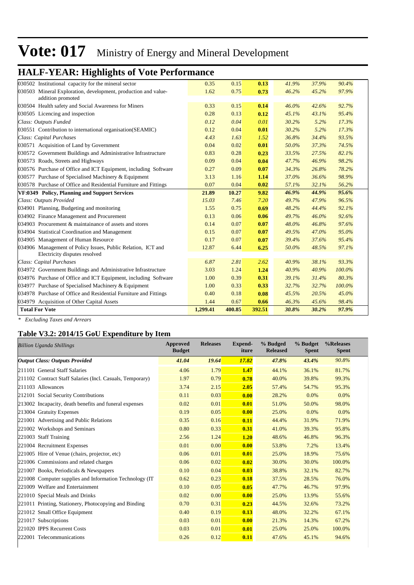## **HALF-YEAR: Highlights of Vote Performance**

| 030502 Institutional capacity for the mineral sector                                          | 0.35     | 0.15   | 0.13   | 41.9% | 37.9% | 90.4%  |  |
|-----------------------------------------------------------------------------------------------|----------|--------|--------|-------|-------|--------|--|
| 030503 Mineral Exploration, development, production and value-<br>addition promoted           | 1.62     | 0.75   | 0.73   | 46.2% | 45.2% | 97.9%  |  |
| 030504 Health safety and Social Awareness for Miners                                          | 0.33     | 0.15   | 0.14   | 46.0% | 42.6% | 92.7%  |  |
| 030505 Licencing and inspection                                                               | 0.28     | 0.13   | 0.12   | 45.1% | 43.1% | 95.4%  |  |
| Class: Outputs Funded                                                                         | 0.12     | 0.04   | 0.01   | 30.2% | 5.2%  | 17.3%  |  |
| 030551 Contribution to international organisation (SEAMIC)                                    | 0.12     | 0.04   | 0.01   | 30.2% | 5.2%  | 17.3%  |  |
| <b>Class: Capital Purchases</b>                                                               | 4.43     | 1.63   | 1.52   | 36.8% | 34.4% | 93.5%  |  |
| 030571 Acquisition of Land by Government                                                      | 0.04     | 0.02   | 0.01   | 50.0% | 37.3% | 74.5%  |  |
| 030572 Government Buildings and Administrative Infrastructure                                 | 0.83     | 0.28   | 0.23   | 33.5% | 27.5% | 82.1%  |  |
| 030573 Roads, Streets and Highways                                                            | 0.09     | 0.04   | 0.04   | 47.7% | 46.9% | 98.2%  |  |
| 030576 Purchase of Office and ICT Equipment, including Software                               | 0.27     | 0.09   | 0.07   | 34.3% | 26.8% | 78.2%  |  |
| 030577 Purchase of Specialised Machinery & Equipment                                          | 3.13     | 1.16   | 1.14   | 37.0% | 36.6% | 98.9%  |  |
| 030578 Purchase of Office and Residential Furniture and Fittings                              | 0.07     | 0.04   | 0.02   | 57.1% | 32.1% | 56.2%  |  |
| VF:0349 Policy, Planning and Support Services                                                 | 21.89    | 10.27  | 9.82   | 46.9% | 44.9% | 95.6%  |  |
| Class: Outputs Provided                                                                       | 15.03    | 7.46   | 7.20   | 49.7% | 47.9% | 96.5%  |  |
| 034901 Planning, Budgeting and monitoring                                                     | 1.55     | 0.75   | 0.69   | 48.2% | 44.4% | 92.1%  |  |
| 034902 Finance Management and Procurement                                                     | 0.13     | 0.06   | 0.06   | 49.7% | 46.0% | 92.6%  |  |
| 034903 Procurement & maintainance of assets and stores                                        | 0.14     | 0.07   | 0.07   | 48.0% | 46.8% | 97.6%  |  |
| 034904 Statistical Coordination and Management                                                | 0.15     | 0.07   | 0.07   | 49.5% | 47.0% | 95.0%  |  |
| 034905 Management of Human Resource                                                           | 0.17     | 0.07   | 0.07   | 39.4% | 37.6% | 95.4%  |  |
| 034906 Management of Policy Issues, Public Relation, ICT and<br>Electricity disputes resolved | 12.87    | 6.44   | 6.25   | 50.0% | 48.5% | 97.1%  |  |
| Class: Capital Purchases                                                                      | 6.87     | 2.81   | 2.62   | 40.9% | 38.1% | 93.3%  |  |
| 034972 Government Buildings and Administrative Infrastructure                                 | 3.03     | 1.24   | 1.24   | 40.9% | 40.9% | 100.0% |  |
| 034976 Purchase of Office and ICT Equipment, including Software                               | 1.00     | 0.39   | 0.31   | 39.1% | 31.4% | 80.3%  |  |
| 034977 Purchase of Specialised Machinery & Equipment                                          | 1.00     | 0.33   | 0.33   | 32.7% | 32.7% | 100.0% |  |
| 034978 Purchase of Office and Residential Furniture and Fittings                              | 0.40     | 0.18   | 0.08   | 45.5% | 20.5% | 45.0%  |  |
| 034979 Acquisition of Other Capital Assets                                                    | 1.44     | 0.67   | 0.66   | 46.3% | 45.6% | 98.4%  |  |
| <b>Total For Vote</b>                                                                         | 1.299.41 | 400.85 | 392.51 | 30.8% | 30.2% | 97.9%  |  |
|                                                                                               |          |        |        |       |       |        |  |

*\* Excluding Taxes and Arrears*

### **Table V3.2: 2014/15 GoU Expenditure by Item**

| <b>Billion Uganda Shillings</b>                           | <b>Approved</b><br><b>Budget</b> | <b>Releases</b> | <b>Expend-</b><br>iture | % Budged<br><b>Released</b> | % Budget<br><b>Spent</b> | %Releases<br><b>Spent</b> |
|-----------------------------------------------------------|----------------------------------|-----------------|-------------------------|-----------------------------|--------------------------|---------------------------|
| <b>Output Class: Outputs Provided</b>                     | 41.04                            | 19.64           | 17.82                   | 47.8%                       | 43.4%                    | 90.8%                     |
| 211101 General Staff Salaries                             | 4.06                             | 1.79            | 1.47                    | 44.1%                       | 36.1%                    | 81.7%                     |
| 211102 Contract Staff Salaries (Incl. Casuals, Temporary) | 1.97                             | 0.79            | 0.78                    | 40.0%                       | 39.8%                    | 99.3%                     |
| 211103 Allowances                                         | 3.74                             | 2.15            | 2.05                    | 57.4%                       | 54.7%                    | 95.3%                     |
| 212101 Social Security Contributions                      | 0.11                             | 0.03            | 0.00                    | 28.2%                       | 0.0%                     | 0.0%                      |
| 213002 Incapacity, death benefits and funeral expenses    | 0.02                             | 0.01            | 0.01                    | 51.0%                       | 50.0%                    | 98.0%                     |
| 213004 Gratuity Expenses                                  | 0.19                             | 0.05            | 0.00                    | 25.0%                       | 0.0%                     | 0.0%                      |
| 221001 Advertising and Public Relations                   | 0.35                             | 0.16            | 0.11                    | 44.4%                       | 31.9%                    | 71.9%                     |
| 221002 Workshops and Seminars                             | 0.80                             | 0.33            | 0.31                    | 41.0%                       | 39.3%                    | 95.8%                     |
| 221003 Staff Training                                     | 2.56                             | 1.24            | 1.20                    | 48.6%                       | 46.8%                    | 96.3%                     |
| 221004 Recruitment Expenses                               | 0.01                             | 0.00            | 0.00                    | 53.8%                       | 7.2%                     | 13.4%                     |
| 221005 Hire of Venue (chairs, projector, etc)             | 0.06                             | 0.01            | 0.01                    | 25.0%                       | 18.9%                    | 75.6%                     |
| 221006 Commissions and related charges                    | 0.06                             | 0.02            | 0.02                    | 30.0%                       | 30.0%                    | 100.0%                    |
| 221007 Books, Periodicals & Newspapers                    | 0.10                             | 0.04            | 0.03                    | 38.8%                       | 32.1%                    | 82.7%                     |
| 221008 Computer supplies and Information Technology (IT)  | 0.62                             | 0.23            | 0.18                    | 37.5%                       | 28.5%                    | 76.0%                     |
| 221009 Welfare and Entertainment                          | 0.10                             | 0.05            | 0.05                    | 47.7%                       | 46.7%                    | 97.9%                     |
| 221010 Special Meals and Drinks                           | 0.02                             | 0.00            | 0.00                    | 25.0%                       | 13.9%                    | 55.6%                     |
| 221011 Printing, Stationery, Photocopying and Binding     | 0.70                             | 0.31            | 0.23                    | 44.5%                       | 32.6%                    | 73.2%                     |
| 221012 Small Office Equipment                             | 0.40                             | 0.19            | 0.13                    | 48.0%                       | 32.2%                    | 67.1%                     |
| 221017 Subscriptions                                      | 0.03                             | 0.01            | 0.00                    | 21.3%                       | 14.3%                    | 67.2%                     |
| 221020 IPPS Recurrent Costs                               | 0.03                             | 0.01            | 0.01                    | 25.0%                       | 25.0%                    | 100.0%                    |
| 222001 Telecommunications                                 | 0.26                             | 0.12            | 0.11                    | 47.6%                       | 45.1%                    | 94.6%                     |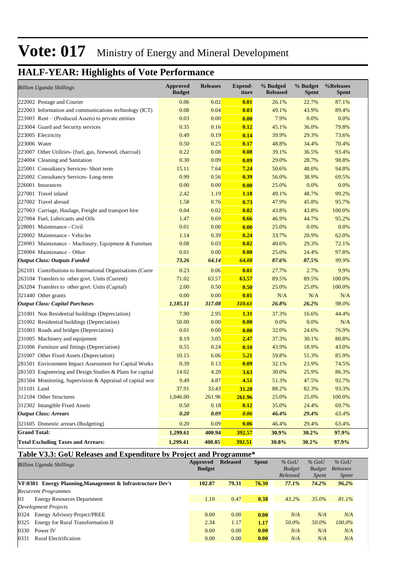## **HALF-YEAR: Highlights of Vote Performance**

| <b>Billion Uganda Shillings</b>                            | <b>Approved</b><br><b>Budget</b> | <b>Releases</b> | Expend-<br>iture | % Budged<br><b>Released</b> | % Budget<br>Spent | %Releases<br><b>Spent</b> |
|------------------------------------------------------------|----------------------------------|-----------------|------------------|-----------------------------|-------------------|---------------------------|
| 222002 Postage and Courier                                 | 0.06                             | 0.02            | 0.01             | 26.1%                       | 22.7%             | 87.1%                     |
| 222003 Information and communications technology (ICT)     | 0.08                             | 0.04            | 0.03             | 49.1%                       | 43.9%             | 89.4%                     |
| $223003$ Rent – (Produced Assets) to private entities      | 0.03                             | 0.00            | 0.00             | 7.9%                        | 0.0%              | 0.0%                      |
| 223004 Guard and Security services                         | 0.35                             | 0.16            | 0.12             | 45.1%                       | 36.0%             | 79.8%                     |
| 223005 Electricity                                         | 0.49                             | 0.19            | 0.14             | 39.9%                       | 29.3%             | 73.6%                     |
| 223006 Water                                               | 0.50                             | 0.25            | 0.17             | 48.8%                       | 34.4%             | 70.4%                     |
| 223007 Other Utilities- (fuel, gas, firewood, charcoal)    | 0.22                             | 0.08            | 0.08             | 39.1%                       | 36.5%             | 93.4%                     |
| 224004 Cleaning and Sanitation                             | 0.30                             | 0.09            | 0.09             | 29.0%                       | 28.7%             | 98.8%                     |
| 225001 Consultancy Services- Short term                    | 15.11                            | 7.64            | 7.24             | 50.6%                       | 48.0%             | 94.8%                     |
| 225002 Consultancy Services-Long-term                      | 0.99                             | 0.56            | 0.39             | 56.0%                       | 38.9%             | 69.5%                     |
| 226001 Insurances                                          | 0.00                             | 0.00            | 0.00             | 25.0%                       | 0.0%              | 0.0%                      |
| 227001 Travel inland                                       | 2.42                             | 1.19            | <b>1.18</b>      | 49.1%                       | 48.7%             | 99.2%                     |
| 227002 Travel abroad                                       | 1.58                             | 0.76            | 0.73             | 47.9%                       | 45.8%             | 95.7%                     |
| 227003 Carriage, Haulage, Freight and transport hire       | 0.04                             | 0.02            | 0.02             | 43.8%                       | 43.8%             | 100.0%                    |
| 227004 Fuel, Lubricants and Oils                           | 1.47                             | 0.69            | 0.66             | 46.9%                       | 44.7%             | 95.2%                     |
| 228001 Maintenance - Civil                                 | 0.01                             | 0.00            | 0.00             | 25.0%                       | 0.0%              | 0.0%                      |
| 228002 Maintenance - Vehicles                              | 1.14                             | 0.39            | 0.24             | 33.7%                       | 20.9%             | 62.0%                     |
| 228003 Maintenance – Machinery, Equipment & Furniture      | 0.08                             | 0.03            | 0.02             | 40.6%                       | 29.3%             | 72.1%                     |
| $228004$ Maintenance – Other                               | 0.01                             | 0.00            | 0.00             | 25.0%                       | 24.4%             | 97.8%                     |
| <b>Output Class: Outputs Funded</b>                        | 73.26                            | 64.14           | 64.08            | 87.6%                       | 87.5%             | 99.9%                     |
| 262101 Contributions to International Organisations (Curre | 0.23                             | 0.06            | 0.01             | 27.7%                       | 2.7%              | 9.9%                      |
| 263104 Transfers to other govt. Units (Current)            | 71.02                            | 63.57           | 63.57            | 89.5%                       | 89.5%             | 100.0%                    |
| 263204 Transfers to other govt. Units (Capital)            | 2.00                             | 0.50            | 0.50             | 25.0%                       | 25.0%             | 100.0%                    |
| 321440 Other grants                                        | 0.00                             | 0.00            | 0.01             | N/A                         | N/A               | N/A                       |
| <b>Output Class: Capital Purchases</b>                     | 1,185.11                         | 317.08          | 310.61           | 26.8%                       | 26.2%             | 98.0%                     |
| 231001 Non Residential buildings (Depreciation)            | 7.90                             | 2.95            | 1.31             | 37.3%                       | 16.6%             | 44.4%                     |
| 231002 Residential buildings (Depreciation)                | 50.00                            | 0.00            | 0.00             | 0.0%                        | 0.0%              | N/A                       |
| 231003 Roads and bridges (Depreciation)                    | 0.01                             | 0.00            | 0.00             | 32.0%                       | 24.6%             | 76.9%                     |
| 231005 Machinery and equipment                             | 8.19                             | 3.05            | 2.47             | 37.3%                       | 30.1%             | 80.8%                     |
| 231006 Furniture and fittings (Depreciation)               | 0.55                             | 0.24            | 0.10             | 43.9%                       | 18.9%             | 43.0%                     |
| 231007 Other Fixed Assets (Depreciation)                   | 10.15                            | 6.06            | 5.21             | 59.8%                       | 51.3%             | 85.9%                     |
| 281501 Environment Impact Assessment for Capital Works     | 0.39                             | 0.13            | 0.09             | 32.1%                       | 23.9%             | 74.5%                     |
| 281503 Engineering and Design Studies & Plans for capital  | 14.02                            | 4.20            | 3.63             | 30.0%                       | 25.9%             | 86.3%                     |
| 281504 Monitoring, Supervision & Appraisal of capital wor  | 9.49                             | 4.87            | 4.51             | 51.3%                       | 47.5%             | 92.7%                     |
| 311101 Land                                                | 37.91                            | 33.43           | 31.20            | 88.2%                       | 82.3%             | 93.3%                     |
| 312104 Other Structures                                    | 1,046.00                         | 261.96          | 261.96           | 25.0%                       | 25.0%             | 100.0%                    |
| 312302 Intangible Fixed Assets                             | 0.50                             | 0.18            | 0.12             | 35.0%                       | 24.4%             | 69.7%                     |
| <b>Output Class: Arrears</b>                               | 0.20                             | 0.09            | 0.06             | 46.4%                       | 29.4%             | 63.4%                     |
| 321605 Domestic arrears (Budgeting)                        | 0.20                             | 0.09            | 0.06             | 46.4%                       | 29.4%             | 63.4%                     |
| <b>Grand Total:</b>                                        | 1,299.61                         | 400.94          | 392.57           | 30.9%                       | 30.2%             | 97.9%                     |
| <b>Total Excluding Taxes and Arrears:</b>                  | 1,299.41                         | 400.85          | 392.51           | 30.8%                       | 30.2%             | 97.9%                     |

### **Table V3.3: GoU Releases and Expenditure by Project and Programme\***

|                      | Billion Uganda Shillings                                          | Approved<br><b>Budget</b> | <b>Released</b> | <b>Spent</b> | $%$ GoU<br><b>Budget</b><br>Released | $%$ GoU<br><b>Budget</b><br><i>Spent</i> | $%$ GoU<br>Releases<br><i>Spent</i> |  |
|----------------------|-------------------------------------------------------------------|---------------------------|-----------------|--------------|--------------------------------------|------------------------------------------|-------------------------------------|--|
|                      | <b>VF:0301</b> Energy Planning, Management & Infrastructure Dev't | 102.87                    | 79.31           | 76.30        | 77.1%                                | 74.2%                                    | 96.2%                               |  |
|                      | <b>Recurrent Programmes</b>                                       |                           |                 |              |                                      |                                          |                                     |  |
| 03                   | <b>Energy Resources Department</b>                                | 1.10                      | 0.47            | 0.38         | $43.2\%$                             | 35.0%                                    | 81.1%                               |  |
| Development Projects |                                                                   |                           |                 |              |                                      |                                          |                                     |  |
| 0324                 | <b>Energy Advisory Project/PREE</b>                               | 0.00                      | 0.00            | 0.00         | N/A                                  | N/A                                      | N/A                                 |  |
| 0325                 | Energy for Rural Transformation II                                | 2.34                      | 1.17            | 1.17         | 50.0%                                | 50.0%                                    | $100.0\%$                           |  |
| 0330                 | Power IV                                                          | 0.00                      | 0.00            | 0.00         | N/A                                  | N/A                                      | N/A                                 |  |
| 0331                 | <b>Rural Electrification</b>                                      | 0.00                      | 0.00            | 0.00         | N/A                                  | N/A                                      | N/A                                 |  |
|                      |                                                                   |                           |                 |              |                                      |                                          |                                     |  |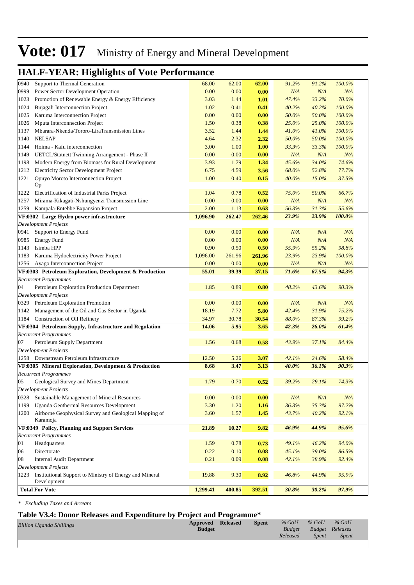## **HALF-YEAR: Highlights of Vote Performance**

| 0940 | Support to Thermal Generation                                          | 68.00         | 62.00         | 62.00          | 91.2%        | 91.2%        | 100.0%       |  |
|------|------------------------------------------------------------------------|---------------|---------------|----------------|--------------|--------------|--------------|--|
| 0999 | Power Sector Development Operation                                     | 0.00          | 0.00          | 0.00           | N/A          | N/A          | N/A          |  |
| 1023 | Promotion of Renewable Energy & Energy Efficiency                      | 3.03          | 1.44          | 1.01           | 47.4%        | 33.2%        | 70.0%        |  |
| 1024 | Bujagali Interconnection Project                                       | 1.02          | 0.41          | 0.41           | 40.2%        | 40.2%        | 100.0%       |  |
| 1025 | Karuma Interconnection Project                                         | 0.00          | 0.00          | 0.00           | 50.0%        | 50.0%        | 100.0%       |  |
| 1026 | Mputa Interconnection Project                                          | 1.50          | 0.38          | 0.38           | 25.0%        | 25.0%        | 100.0%       |  |
| 1137 | Mbarara-Nkenda/Tororo-LiraTransmission Lines                           | 3.52          | 1.44          | 1.44           | 41.0%        | 41.0%        | 100.0%       |  |
| 1140 | <b>NELSAP</b>                                                          | 4.64          | 2.32          | 2.32           | 50.0%        | 50.0%        | 100.0%       |  |
| 1144 | Hoima - Kafu interconnection                                           | 3.00          | 1.00          | 1.00           | 33.3%        | 33.3%        | 100.0%       |  |
| 1149 | UETCL/Statnett Twinning Arrangement - Phase II                         | 0.00          | 0.00          | 0.00           | N/A          | N/A          | N/A          |  |
| 1198 | Modern Energy from Biomass for Rural Development                       | 3.93          | 1.79          | 1.34           | 45.6%        | 34.0%        | 74.6%        |  |
| 1212 | <b>Electricity Sector Development Project</b>                          | 6.75          | 4.59          | 3.56           | 68.0%        | 52.8%        | 77.7%        |  |
| 1221 | Opuyo Moroto Interconnection Project<br>Op                             | 1.00          | 0.40          | 0.15           | 40.0%        | 15.0%        | 37.5%        |  |
| 1222 | Electrification of Industrial Parks Project                            | 1.04          | 0.78          | 0.52           | 75.0%        | 50.0%        | 66.7%        |  |
| 1257 | Mirama-Kikagati-Nshungyenzi Transmission Line                          | 0.00          | 0.00          | 0.00           | N/A          | N/A          | N/A          |  |
| 1259 | Kampala-Entebbe Expansion Project                                      | 2.00          |               |                | 56.3%        | 31.3%        | 55.6%        |  |
|      | VF:0302 Large Hydro power infrastructure                               | 1,096.90      | 1.13          | 0.63           | 23.9%        | 23.9%        | 100.0%       |  |
|      | <b>Development Projects</b>                                            |               | 262.47        | 262.46         |              |              |              |  |
| 0941 | Support to Energy Fund                                                 | 0.00          | 0.00          | 0.00           | N/A          | N/A          | N/A          |  |
| 0985 | <b>Energy Fund</b>                                                     | 0.00          | 0.00          | 0.00           | N/A          | N/A          | N/A          |  |
| 1143 | Isimba HPP                                                             | 0.90          | 0.50          |                | 55.9%        | 55.2%        | 98.8%        |  |
| 1183 | Karuma Hydoelectricity Power Project                                   | 1,096.00      | 261.96        | 0.50<br>261.96 | 23.9%        | 23.9%        | 100.0%       |  |
|      | Ayago Interconnection Project                                          |               |               |                |              |              |              |  |
| 1256 | VF:0303 Petroleum Exploration, Development & Production                | 0.00<br>55.01 | 0.00<br>39.39 | 0.00<br>37.15  | N/A<br>71.6% | N/A<br>67.5% | N/A<br>94.3% |  |
|      | <b>Recurrent Programmes</b>                                            |               |               |                |              |              |              |  |
| 04   | Petroleum Exploration Production Department                            | 1.85          | 0.89          | 0.80           | 48.2%        | 43.6%        | 90.3%        |  |
|      | <b>Development Projects</b>                                            |               |               |                |              |              |              |  |
|      | 0329 Petroleum Exploration Promotion                                   | 0.00          | 0.00          | 0.00           | N/A          | N/A          | N/A          |  |
| 1142 | Management of the Oil and Gas Sector in Uganda                         | 18.19         | 7.72          | 5.80           | 42.4%        | 31.9%        | 75.2%        |  |
|      | 1184 Construction of Oil Refinery                                      | 34.97         | 30.78         | 30.54          | 88.0%        | 87.3%        | 99.2%        |  |
|      | VF:0304 Petroleum Supply, Infrastructure and Regulation                | 14.06         | 5.95          | 3.65           | 42.3%        | 26.0%        | 61.4%        |  |
|      | <b>Recurrent Programmes</b>                                            |               |               |                |              |              |              |  |
| 07   | Petroleum Supply Department                                            | 1.56          | 0.68          | 0.58           | 43.9%        | 37.1%        | 84.4%        |  |
|      | <b>Development Projects</b>                                            |               |               |                |              |              |              |  |
|      | 1258 Downstream Petroleum Infrastructure                               | 12.50         | 5.26          | 3.07           | 42.1%        | 24.6%        | 58.4%        |  |
|      | VF:0305 Mineral Exploration, Development & Production                  | 8.68          | 3.47          | 3.13           | 40.0%        | 36.1%        | 90.3%        |  |
|      | <b>Recurrent Programmes</b>                                            |               |               |                |              |              |              |  |
| 05   | Geological Survey and Mines Department                                 | 1.79          | 0.70          | 0.52           | 39.2%        | 29.1%        | 74.3%        |  |
|      | Development Projects                                                   |               |               |                |              |              |              |  |
|      | 0328 Sustainable Management of Mineral Resources                       | 0.00          | 0.00          | 0.00           | N/A          | N/A          | N/A          |  |
| 1199 | Uganda Geothermal Resources Development                                | 3.30          | 1.20          | 1.16           | 36.3%        | 35.3%        | 97.2%        |  |
| 1200 | Airborne Geophysical Survey and Geological Mapping of                  | 3.60          | 1.57          | 1.45           | 43.7%        | 40.2%        | 92.1%        |  |
|      | Karamoja                                                               |               |               |                |              |              |              |  |
|      | VF:0349 Policy, Planning and Support Services                          | 21.89         | 10.27         | 9.82           | 46.9%        | 44.9%        | 95.6%        |  |
|      | <b>Recurrent Programmes</b>                                            |               |               |                |              |              |              |  |
| 01   | Headquarters                                                           | 1.59          | 0.78          | 0.73           | 49.1%        | 46.2%        | 94.0%        |  |
| 06   | Directorate                                                            | 0.22          | 0.10          | 0.08           | 45.1%        | 39.0%        | 86.5%        |  |
| 08   | Internal Audit Department                                              | 0.21          | 0.09          | 0.08           | 42.1%        | 38.9%        | 92.4%        |  |
|      | <b>Development Projects</b>                                            |               |               |                |              |              |              |  |
| 1223 | Institutional Support to Ministry of Energy and Mineral<br>Development | 19.88         | 9.30          | 8.92           | 46.8%        | 44.9%        | 95.9%        |  |
|      | <b>Total For Vote</b>                                                  | 1,299.41      | 400.85        | 392.51         | 30.8%        | 30.2%        | 97.9%        |  |
|      |                                                                        |               |               |                |              |              |              |  |

*\* Excluding Taxes and Arrears*

### **Table V3.4: Donor Releases and Expenditure by Project and Programme\***

| <b>Billion Uganda Shillings</b> | <b>Approved</b> Released<br><b>Budget</b> | <b>Spent</b> | $%$ GoU<br><b>Budget</b><br>Released | $\%$ GoU<br><b>Budget Releases</b><br><i>Spent</i> | $\%$ GoU<br><i>Spent</i> |
|---------------------------------|-------------------------------------------|--------------|--------------------------------------|----------------------------------------------------|--------------------------|
|                                 |                                           |              |                                      |                                                    |                          |